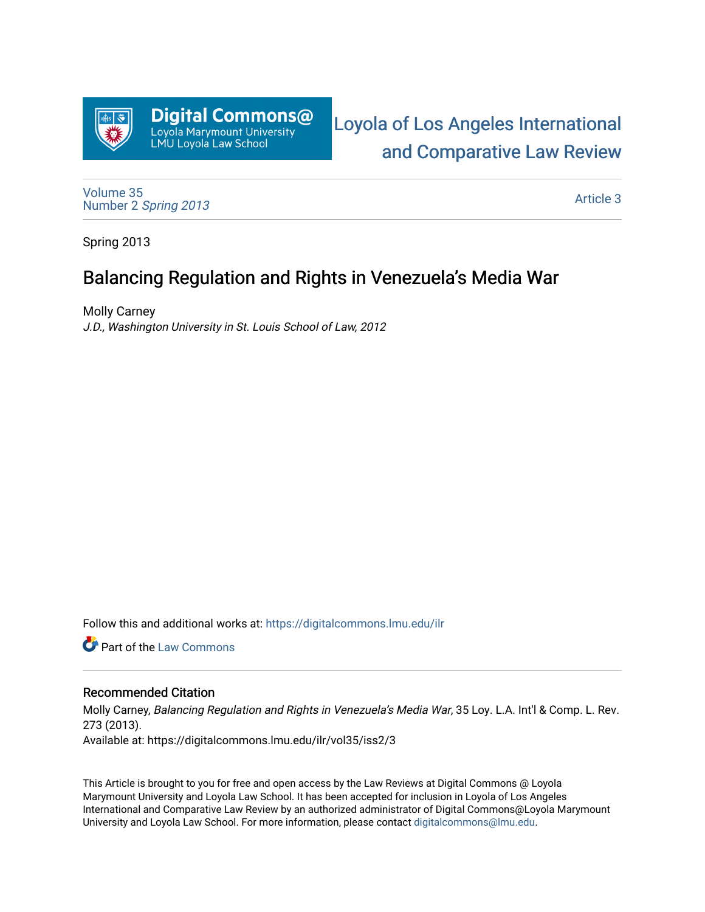

[Loyola of Los Angeles International](https://digitalcommons.lmu.edu/ilr)  [and Comparative Law Review](https://digitalcommons.lmu.edu/ilr) 

[Volume 35](https://digitalcommons.lmu.edu/ilr/vol35) Number 2 [Spring 2013](https://digitalcommons.lmu.edu/ilr/vol35/iss2) 

[Article 3](https://digitalcommons.lmu.edu/ilr/vol35/iss2/3) 

Spring 2013

# Balancing Regulation and Rights in Venezuela's Media War

Molly Carney J.D., Washington University in St. Louis School of Law, 2012

Follow this and additional works at: [https://digitalcommons.lmu.edu/ilr](https://digitalcommons.lmu.edu/ilr?utm_source=digitalcommons.lmu.edu%2Filr%2Fvol35%2Fiss2%2F3&utm_medium=PDF&utm_campaign=PDFCoverPages) 

Part of the [Law Commons](http://network.bepress.com/hgg/discipline/578?utm_source=digitalcommons.lmu.edu%2Filr%2Fvol35%2Fiss2%2F3&utm_medium=PDF&utm_campaign=PDFCoverPages)

# Recommended Citation

Molly Carney, Balancing Regulation and Rights in Venezuela's Media War, 35 Loy. L.A. Int'l & Comp. L. Rev. 273 (2013). Available at: https://digitalcommons.lmu.edu/ilr/vol35/iss2/3

This Article is brought to you for free and open access by the Law Reviews at Digital Commons @ Loyola Marymount University and Loyola Law School. It has been accepted for inclusion in Loyola of Los Angeles International and Comparative Law Review by an authorized administrator of Digital Commons@Loyola Marymount University and Loyola Law School. For more information, please contact [digitalcommons@lmu.edu.](mailto:digitalcommons@lmu.edu)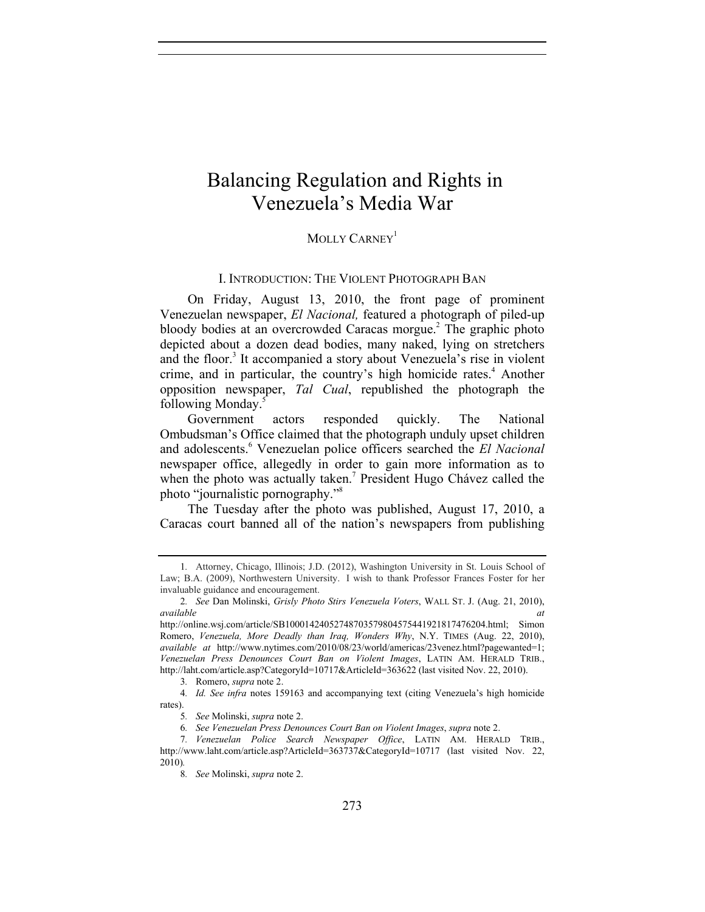# Balancing Regulation and Rights in Venezuela's Media War

# MOLLY CARNEY<sup>1</sup>

### I. INTRODUCTION: THE VIOLENT PHOTOGRAPH BAN

On Friday, August 13, 2010, the front page of prominent Venezuelan newspaper, *El Nacional,* featured a photograph of piled-up bloody bodies at an overcrowded Caracas morgue.<sup>2</sup> The graphic photo depicted about a dozen dead bodies, many naked, lying on stretchers and the floor.<sup>3</sup> It accompanied a story about Venezuela's rise in violent crime, and in particular, the country's high homicide rates.<sup>4</sup> Another opposition newspaper, *Tal Cual*, republished the photograph the following Monday.<sup>5</sup>

Government actors responded quickly. The National Ombudsman's Office claimed that the photograph unduly upset children and adolescents.<sup>6</sup> Venezuelan police officers searched the *El Nacional* newspaper office, allegedly in order to gain more information as to when the photo was actually taken.<sup>7</sup> President Hugo Chávez called the photo "journalistic pornography."<sup>8</sup>

The Tuesday after the photo was published, August 17, 2010, a Caracas court banned all of the nation's newspapers from publishing

3*.* Romero, *supra* note 2.

4*. Id. See infra* notes 159163 and accompanying text (citing Venezuela's high homicide rates).

5*. See* Molinski, *supra* note 2.

6*. See Venezuelan Press Denounces Court Ban on Violent Images*, *supra* note 2.

<sup>1</sup>*.* Attorney, Chicago, Illinois; J.D. (2012), Washington University in St. Louis School of Law; B.A. (2009), Northwestern University. I wish to thank Professor Frances Foster for her invaluable guidance and encouragement.

<sup>2</sup>*. See* Dan Molinski, *Grisly Photo Stirs Venezuela Voters*, WALL ST. J. (Aug. 21, 2010), *available* at a *available* and *at* 

http://online.wsj.com/article/SB10001424052748703579804575441921817476204.html; Simon Romero, *Venezuela, More Deadly than Iraq, Wonders Why*, N.Y. TIMES (Aug. 22, 2010), *available at* http://www.nytimes.com/2010/08/23/world/americas/23venez.html?pagewanted=1; *Venezuelan Press Denounces Court Ban on Violent Images*, LATIN AM. HERALD TRIB., http://laht.com/article.asp?CategoryId=10717&ArticleId=363622 (last visited Nov. 22, 2010).

<sup>7</sup>*. Venezuelan Police Search Newspaper Office*, LATIN AM. HERALD TRIB., http://www.laht.com/article.asp?ArticleId=363737&CategoryId=10717 (last visited Nov. 22, 2010)*.* 

<sup>8</sup>*. See* Molinski, *supra* note 2.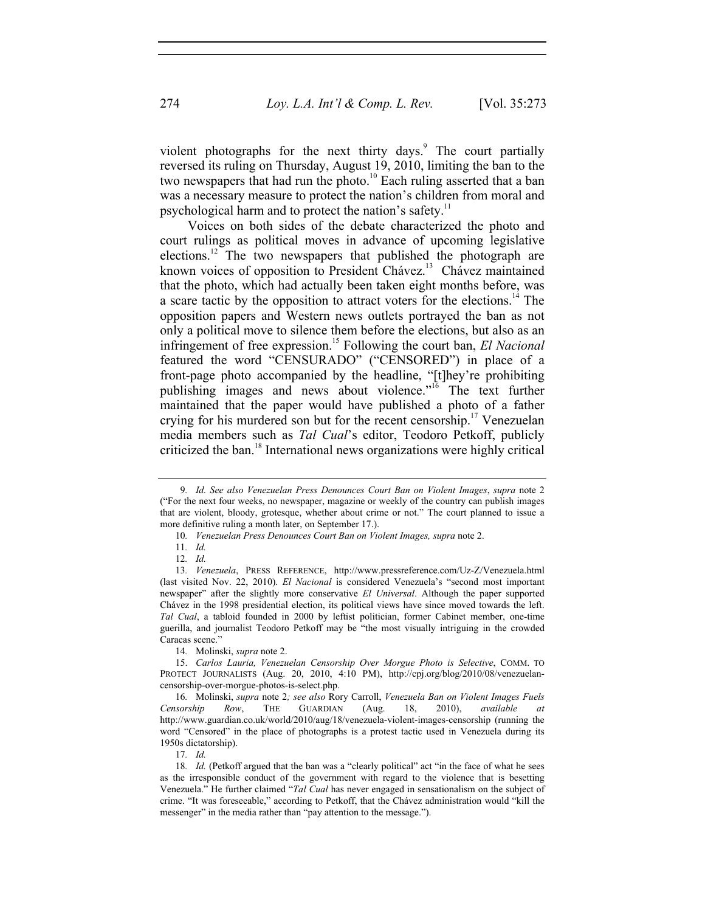violent photographs for the next thirty days.<sup>9</sup> The court partially reversed its ruling on Thursday, August 19, 2010, limiting the ban to the two newspapers that had run the photo.<sup>10</sup> Each ruling asserted that a ban was a necessary measure to protect the nation's children from moral and psychological harm and to protect the nation's safety.<sup>11</sup>

Voices on both sides of the debate characterized the photo and court rulings as political moves in advance of upcoming legislative elections.<sup>12</sup> The two newspapers that published the photograph are known voices of opposition to President Chávez.<sup>13</sup> Chávez maintained that the photo, which had actually been taken eight months before, was a scare tactic by the opposition to attract voters for the elections.<sup>14</sup> The opposition papers and Western news outlets portrayed the ban as not only a political move to silence them before the elections, but also as an infringement of free expression.<sup>15</sup> Following the court ban, *El Nacional* featured the word "CENSURADO" ("CENSORED") in place of a front-page photo accompanied by the headline, "[t]hey're prohibiting publishing images and news about violence."16 The text further maintained that the paper would have published a photo of a father crying for his murdered son but for the recent censorship.<sup>17</sup> Venezuelan media members such as *Tal Cual*'s editor, Teodoro Petkoff, publicly criticized the ban.18 International news organizations were highly critical

14*.* Molinski, *supra* note 2.

17*. Id.*

<sup>9</sup>*. Id. See also Venezuelan Press Denounces Court Ban on Violent Images*, *supra* note 2 ("For the next four weeks, no newspaper, magazine or weekly of the country can publish images that are violent, bloody, grotesque, whether about crime or not." The court planned to issue a more definitive ruling a month later, on September 17.).

<sup>10</sup>*. Venezuelan Press Denounces Court Ban on Violent Images, supra* note 2.

<sup>11</sup>*. Id.*

<sup>12</sup>*. Id.*

<sup>13</sup>*. Venezuela*, PRESS REFERENCE, http://www.pressreference.com/Uz-Z/Venezuela.html (last visited Nov. 22, 2010). *El Nacional* is considered Venezuela's "second most important newspaper" after the slightly more conservative *El Universal*. Although the paper supported Chávez in the 1998 presidential election, its political views have since moved towards the left. *Tal Cual*, a tabloid founded in 2000 by leftist politician, former Cabinet member, one-time guerilla, and journalist Teodoro Petkoff may be "the most visually intriguing in the crowded Caracas scene."

<sup>15.</sup> *Carlos Lauria, Venezuelan Censorship Over Morgue Photo is Selective*, COMM. TO PROTECT JOURNALISTS (Aug. 20, 2010, 4:10 PM), http://cpj.org/blog/2010/08/venezuelancensorship-over-morgue-photos-is-select.php.

<sup>16</sup>*.* Molinski, *supra* note 2*; see also* Rory Carroll, *Venezuela Ban on Violent Images Fuels Censorship Row*, THE GUARDIAN (Aug. 18, 2010), *available at*  http://www.guardian.co.uk/world/2010/aug/18/venezuela-violent-images-censorship (running the word "Censored" in the place of photographs is a protest tactic used in Venezuela during its 1950s dictatorship).

<sup>18.</sup> Id. (Petkoff argued that the ban was a "clearly political" act "in the face of what he sees as the irresponsible conduct of the government with regard to the violence that is besetting Venezuela." He further claimed "*Tal Cual* has never engaged in sensationalism on the subject of crime. "It was foreseeable," according to Petkoff, that the Chávez administration would "kill the messenger" in the media rather than "pay attention to the message.").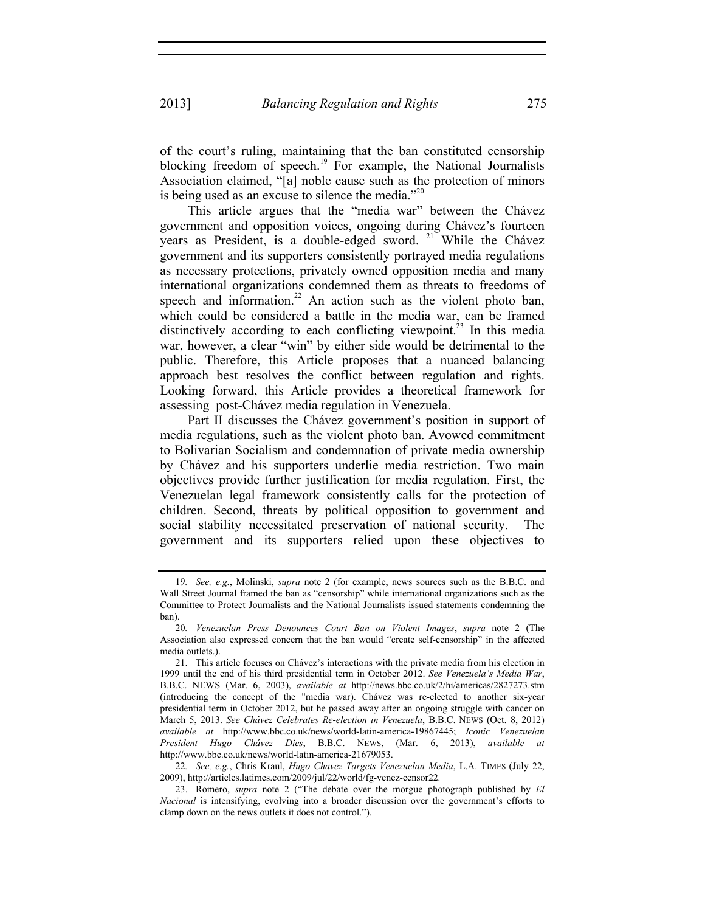of the court's ruling, maintaining that the ban constituted censorship blocking freedom of speech.<sup>19</sup> For example, the National Journalists Association claimed, "[a] noble cause such as the protection of minors is being used as an excuse to silence the media. $120$ 

This article argues that the "media war" between the Chávez government and opposition voices, ongoing during Chávez's fourteen years as President, is a double-edged sword.  $21$  While the Chávez government and its supporters consistently portrayed media regulations as necessary protections, privately owned opposition media and many international organizations condemned them as threats to freedoms of speech and information.<sup>22</sup> An action such as the violent photo ban, which could be considered a battle in the media war, can be framed distinctively according to each conflicting viewpoint.<sup>23</sup> In this media war, however, a clear "win" by either side would be detrimental to the public. Therefore, this Article proposes that a nuanced balancing approach best resolves the conflict between regulation and rights. Looking forward, this Article provides a theoretical framework for assessing post-Chávez media regulation in Venezuela.

Part II discusses the Chávez government's position in support of media regulations, such as the violent photo ban. Avowed commitment to Bolivarian Socialism and condemnation of private media ownership by Chávez and his supporters underlie media restriction. Two main objectives provide further justification for media regulation. First, the Venezuelan legal framework consistently calls for the protection of children. Second, threats by political opposition to government and social stability necessitated preservation of national security. The government and its supporters relied upon these objectives to

<sup>19</sup>*. See, e.g.*, Molinski, *supra* note 2 (for example, news sources such as the B.B.C. and Wall Street Journal framed the ban as "censorship" while international organizations such as the Committee to Protect Journalists and the National Journalists issued statements condemning the ban).

<sup>20</sup>*. Venezuelan Press Denounces Court Ban on Violent Images*, *supra* note 2 (The Association also expressed concern that the ban would "create self-censorship" in the affected media outlets.).

 <sup>21.</sup> This article focuses on Chávez's interactions with the private media from his election in 1999 until the end of his third presidential term in October 2012. *See Venezuela's Media War*, B.B.C. NEWS (Mar. 6, 2003), *available at* http://news.bbc.co.uk/2/hi/americas/2827273.stm (introducing the concept of the "media war). Chávez was re-elected to another six-year presidential term in October 2012, but he passed away after an ongoing struggle with cancer on March 5, 2013. *See Chávez Celebrates Re-election in Venezuela*, B.B.C. NEWS (Oct. 8, 2012) *available at* http://www.bbc.co.uk/news/world-latin-america-19867445; *Iconic Venezuelan President Hugo Chávez Dies*, B.B.C. NEWS, (Mar. 6, 2013), *available at* http://www.bbc.co.uk/news/world-latin-america-21679053.

<sup>22</sup>*. See, e.g.*, Chris Kraul, *Hugo Chavez Targets Venezuelan Media*, L.A. TIMES (July 22, 2009), http://articles.latimes.com/2009/jul/22/world/fg-venez-censor22*.*

 <sup>23.</sup> Romero, *supra* note 2 ("The debate over the morgue photograph published by *El Nacional* is intensifying, evolving into a broader discussion over the government's efforts to clamp down on the news outlets it does not control.").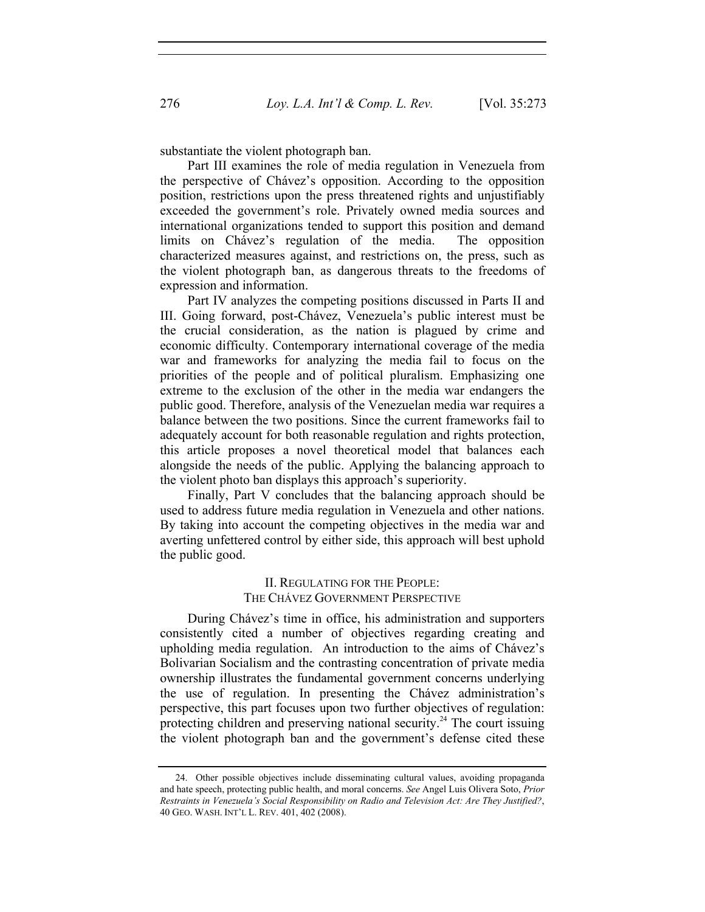substantiate the violent photograph ban.

Part III examines the role of media regulation in Venezuela from the perspective of Chávez's opposition. According to the opposition position, restrictions upon the press threatened rights and unjustifiably exceeded the government's role. Privately owned media sources and international organizations tended to support this position and demand limits on Chávez's regulation of the media. The opposition characterized measures against, and restrictions on, the press, such as the violent photograph ban, as dangerous threats to the freedoms of expression and information.

Part IV analyzes the competing positions discussed in Parts II and III. Going forward, post-Chávez, Venezuela's public interest must be the crucial consideration, as the nation is plagued by crime and economic difficulty. Contemporary international coverage of the media war and frameworks for analyzing the media fail to focus on the priorities of the people and of political pluralism. Emphasizing one extreme to the exclusion of the other in the media war endangers the public good. Therefore, analysis of the Venezuelan media war requires a balance between the two positions. Since the current frameworks fail to adequately account for both reasonable regulation and rights protection, this article proposes a novel theoretical model that balances each alongside the needs of the public. Applying the balancing approach to the violent photo ban displays this approach's superiority.

Finally, Part V concludes that the balancing approach should be used to address future media regulation in Venezuela and other nations. By taking into account the competing objectives in the media war and averting unfettered control by either side, this approach will best uphold the public good.

## II. REGULATING FOR THE PEOPLE: THE CHÁVEZ GOVERNMENT PERSPECTIVE

During Chávez's time in office, his administration and supporters consistently cited a number of objectives regarding creating and upholding media regulation. An introduction to the aims of Chávez's Bolivarian Socialism and the contrasting concentration of private media ownership illustrates the fundamental government concerns underlying the use of regulation. In presenting the Chávez administration's perspective, this part focuses upon two further objectives of regulation: protecting children and preserving national security.<sup>24</sup> The court issuing the violent photograph ban and the government's defense cited these

 <sup>24.</sup> Other possible objectives include disseminating cultural values, avoiding propaganda and hate speech, protecting public health, and moral concerns. *See* Angel Luis Olivera Soto, *Prior Restraints in Venezuela's Social Responsibility on Radio and Television Act: Are They Justified?*, 40 GEO. WASH. INT'L L. REV. 401, 402 (2008).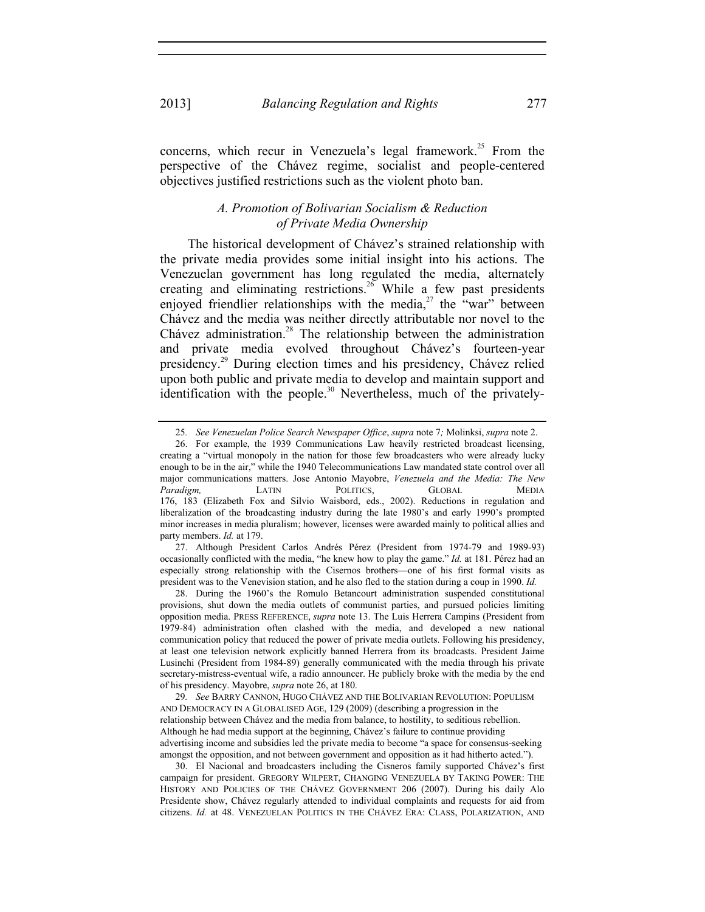concerns, which recur in Venezuela's legal framework.<sup>25</sup> From the perspective of the Chávez regime, socialist and people-centered objectives justified restrictions such as the violent photo ban.

## *A. Promotion of Bolivarian Socialism & Reduction of Private Media Ownership*

The historical development of Chávez's strained relationship with the private media provides some initial insight into his actions. The Venezuelan government has long regulated the media, alternately creating and eliminating restrictions.<sup>26</sup> While a few past presidents enjoyed friendlier relationships with the media,<sup>27</sup> the "war" between Chávez and the media was neither directly attributable nor novel to the Chávez administration.<sup>28</sup> The relationship between the administration and private media evolved throughout Chávez's fourteen-year presidency.29 During election times and his presidency, Chávez relied upon both public and private media to develop and maintain support and identification with the people.<sup>30</sup> Nevertheless, much of the privately-

 27. Although President Carlos Andrés Pérez (President from 1974-79 and 1989-93) occasionally conflicted with the media, "he knew how to play the game." *Id.* at 181. Pérez had an especially strong relationship with the Cisernos brothers—one of his first formal visits as president was to the Venevision station, and he also fled to the station during a coup in 1990. *Id.* 

 28. During the 1960's the Romulo Betancourt administration suspended constitutional provisions, shut down the media outlets of communist parties, and pursued policies limiting opposition media. PRESS REFERENCE, *supra* note 13. The Luis Herrera Campins (President from 1979-84) administration often clashed with the media, and developed a new national communication policy that reduced the power of private media outlets. Following his presidency, at least one television network explicitly banned Herrera from its broadcasts. President Jaime Lusinchi (President from 1984-89) generally communicated with the media through his private secretary-mistress-eventual wife, a radio announcer. He publicly broke with the media by the end of his presidency. Mayobre, *supra* note 26, at 180.

29*. See* BARRY CANNON, HUGO CHÁVEZ AND THE BOLIVARIAN REVOLUTION: POPULISM AND DEMOCRACY IN A GLOBALISED AGE, 129 (2009) (describing a progression in the relationship between Chávez and the media from balance, to hostility, to seditious rebellion. Although he had media support at the beginning, Chávez's failure to continue providing advertising income and subsidies led the private media to become "a space for consensus-seeking amongst the opposition, and not between government and opposition as it had hitherto acted.").

 30. El Nacional and broadcasters including the Cisneros family supported Chávez's first campaign for president. GREGORY WILPERT, CHANGING VENEZUELA BY TAKING POWER: THE HISTORY AND POLICIES OF THE CHÁVEZ GOVERNMENT 206 (2007). During his daily Alo Presidente show, Chávez regularly attended to individual complaints and requests for aid from citizens. *Id.* at 48. VENEZUELAN POLITICS IN THE CHÁVEZ ERA: CLASS, POLARIZATION, AND

<sup>25</sup>*. See Venezuelan Police Search Newspaper Office*, *supra* note 7*;* Molinksi, *supra* note 2.

 <sup>26.</sup> For example, the 1939 Communications Law heavily restricted broadcast licensing, creating a "virtual monopoly in the nation for those few broadcasters who were already lucky enough to be in the air," while the 1940 Telecommunications Law mandated state control over all major communications matters. Jose Antonio Mayobre, *Venezuela and the Media: The New Paradigm,* LATIN POLITICS, GLOBAL MEDIA 176, 183 (Elizabeth Fox and Silvio Waisbord, eds., 2002). Reductions in regulation and liberalization of the broadcasting industry during the late 1980's and early 1990's prompted minor increases in media pluralism; however, licenses were awarded mainly to political allies and party members. *Id.* at 179.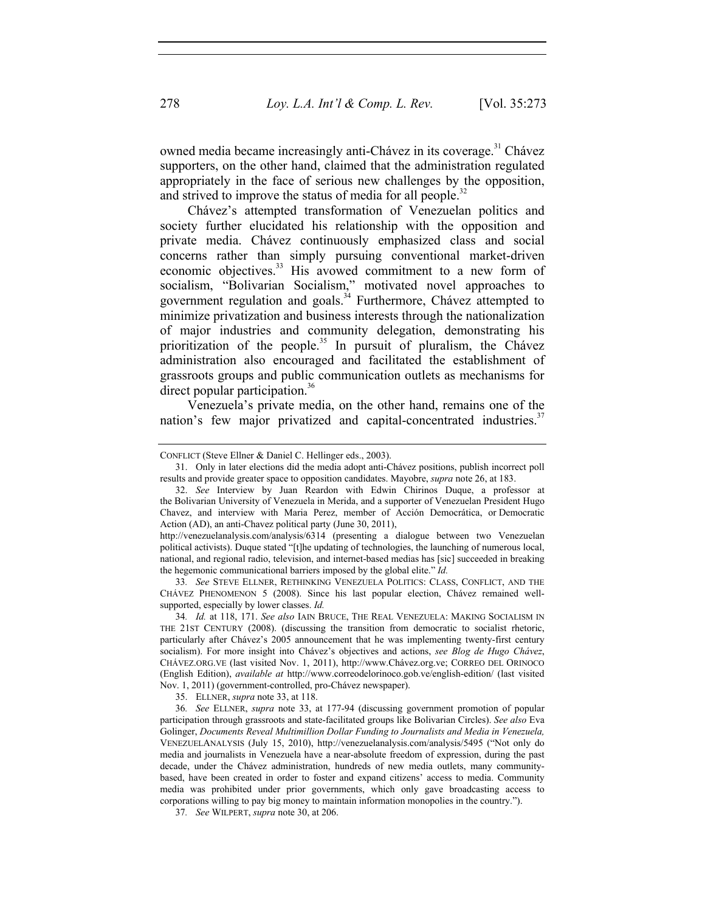owned media became increasingly anti-Chávez in its coverage.<sup>31</sup> Chávez supporters, on the other hand, claimed that the administration regulated appropriately in the face of serious new challenges by the opposition, and strived to improve the status of media for all people.<sup>32</sup>

Chávez's attempted transformation of Venezuelan politics and society further elucidated his relationship with the opposition and private media. Chávez continuously emphasized class and social concerns rather than simply pursuing conventional market-driven economic objectives.<sup>33</sup> His avowed commitment to a new form of socialism, "Bolivarian Socialism," motivated novel approaches to government regulation and goals.<sup>34</sup> Furthermore, Chávez attempted to minimize privatization and business interests through the nationalization of major industries and community delegation, demonstrating his prioritization of the people.<sup>35</sup> In pursuit of pluralism, the Chávez administration also encouraged and facilitated the establishment of grassroots groups and public communication outlets as mechanisms for direct popular participation.<sup>36</sup>

Venezuela's private media, on the other hand, remains one of the nation's few major privatized and capital-concentrated industries.<sup>37</sup>

http://venezuelanalysis.com/analysis/6314 (presenting a dialogue between two Venezuelan political activists). Duque stated "[t]he updating of technologies, the launching of numerous local, national, and regional radio, television, and internet-based medias has [sic] succeeded in breaking the hegemonic communicational barriers imposed by the global elite." *Id.*

33*. See* STEVE ELLNER, RETHINKING VENEZUELA POLITICS: CLASS, CONFLICT, AND THE CHÁVEZ PHENOMENON 5 (2008). Since his last popular election, Chávez remained wellsupported, especially by lower classes. *Id.* 

34*. Id.* at 118, 171. *See also* IAIN BRUCE, THE REAL VENEZUELA: MAKING SOCIALISM IN THE 21ST CENTURY (2008). (discussing the transition from democratic to socialist rhetoric, particularly after Chávez's 2005 announcement that he was implementing twenty-first century socialism). For more insight into Chávez's objectives and actions, *see Blog de Hugo Chávez*, CHÁVEZ.ORG.VE (last visited Nov. 1, 2011), http://www.Chávez.org.ve; CORREO DEL ORINOCO (English Edition), *available at* http://www.correodelorinoco.gob.ve/english-edition/ (last visited Nov. 1, 2011) (government-controlled, pro-Chávez newspaper).

35. ELLNER, *supra* note 33, at 118.

36*. See* ELLNER, *supra* note 33, at 177-94 (discussing government promotion of popular participation through grassroots and state-facilitated groups like Bolivarian Circles). *See also* Eva Golinger, *Documents Reveal Multimillion Dollar Funding to Journalists and Media in Venezuela,* VENEZUELANALYSIS (July 15, 2010), http://venezuelanalysis.com/analysis/5495 ("Not only do media and journalists in Venezuela have a near-absolute freedom of expression, during the past decade, under the Chávez administration, hundreds of new media outlets, many communitybased, have been created in order to foster and expand citizens' access to media. Community media was prohibited under prior governments, which only gave broadcasting access to corporations willing to pay big money to maintain information monopolies in the country.").

37*. See* WILPERT, *supra* note 30, at 206.

CONFLICT (Steve Ellner & Daniel C. Hellinger eds., 2003).

 <sup>31.</sup> Only in later elections did the media adopt anti-Chávez positions, publish incorrect poll results and provide greater space to opposition candidates. Mayobre, *supra* note 26, at 183.

 <sup>32.</sup> *See* Interview by Juan Reardon with Edwin Chirinos Duque, a professor at the Bolivarian University of Venezuela in Merida, and a supporter of Venezuelan President Hugo Chavez, and interview with Maria Perez, member of Acción Democrática, or Democratic Action (AD), an anti-Chavez political party (June 30, 2011),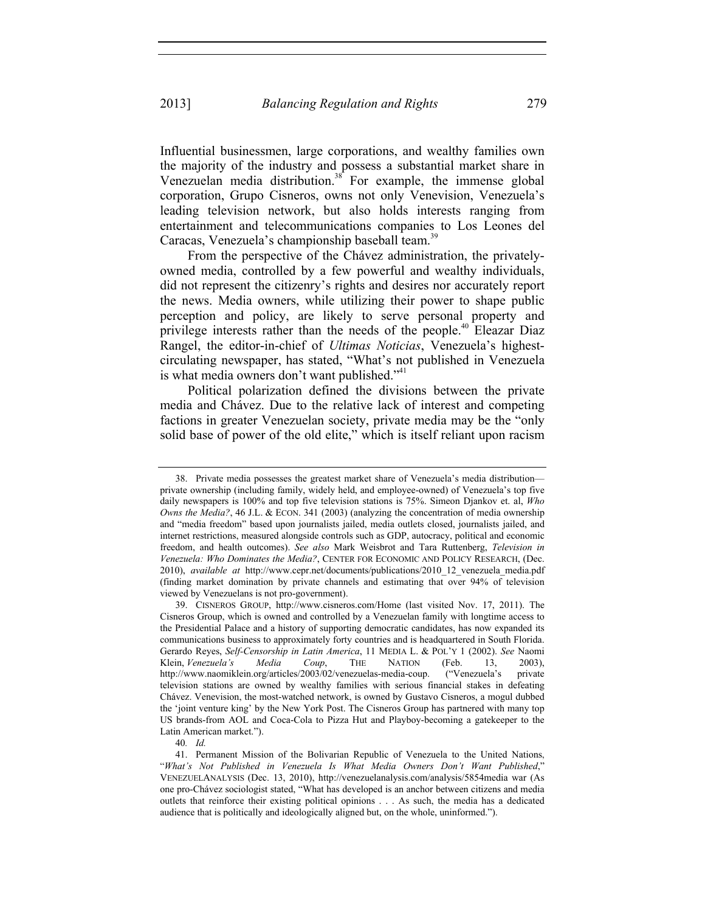Influential businessmen, large corporations, and wealthy families own the majority of the industry and possess a substantial market share in Venezuelan media distribution.<sup>38</sup> For example, the immense global corporation, Grupo Cisneros, owns not only Venevision, Venezuela's leading television network, but also holds interests ranging from entertainment and telecommunications companies to Los Leones del Caracas, Venezuela's championship baseball team.<sup>39</sup>

From the perspective of the Chávez administration, the privatelyowned media, controlled by a few powerful and wealthy individuals, did not represent the citizenry's rights and desires nor accurately report the news. Media owners, while utilizing their power to shape public perception and policy, are likely to serve personal property and privilege interests rather than the needs of the people.<sup>40</sup> Eleazar Diaz Rangel, the editor-in-chief of *Ultimas Noticias*, Venezuela's highestcirculating newspaper, has stated, "What's not published in Venezuela is what media owners don't want published."<sup>41</sup>

Political polarization defined the divisions between the private media and Chávez. Due to the relative lack of interest and competing factions in greater Venezuelan society, private media may be the "only solid base of power of the old elite," which is itself reliant upon racism

40*. Id.* 

 <sup>38.</sup> Private media possesses the greatest market share of Venezuela's media distribution private ownership (including family, widely held, and employee-owned) of Venezuela's top five daily newspapers is 100% and top five television stations is 75%. Simeon Djankov et. al, *Who Owns the Media?*, 46 J.L. & ECON. 341 (2003) (analyzing the concentration of media ownership and "media freedom" based upon journalists jailed, media outlets closed, journalists jailed, and internet restrictions, measured alongside controls such as GDP, autocracy, political and economic freedom, and health outcomes). *See also* Mark Weisbrot and Tara Ruttenberg, *Television in Venezuela: Who Dominates the Media?*, CENTER FOR ECONOMIC AND POLICY RESEARCH, (Dec. 2010), *available at* http://www.cepr.net/documents/publications/2010\_12\_venezuela\_media.pdf (finding market domination by private channels and estimating that over 94% of television viewed by Venezuelans is not pro-government).

 <sup>39.</sup> CISNEROS GROUP, http://www.cisneros.com/Home (last visited Nov. 17, 2011). The Cisneros Group, which is owned and controlled by a Venezuelan family with longtime access to the Presidential Palace and a history of supporting democratic candidates, has now expanded its communications business to approximately forty countries and is headquartered in South Florida. Gerardo Reyes, *Self-Censorship in Latin America*, 11 MEDIA L. & POL'Y 1 (2002). *See* Naomi Klein, *Venezuela's Media Coup*, THE NATION (Feb. 13, 2003), http://www.naomiklein.org/articles/2003/02/venezuelas-media-coup. ("Venezuela's private television stations are owned by wealthy families with serious financial stakes in defeating Chávez. Venevision, the most-watched network, is owned by Gustavo Cisneros, a mogul dubbed the 'joint venture king' by the New York Post. The Cisneros Group has partnered with many top US brands-from AOL and Coca-Cola to Pizza Hut and Playboy-becoming a gatekeeper to the Latin American market.").

 <sup>41.</sup> Permanent Mission of the Bolivarian Republic of Venezuela to the United Nations, "*What's Not Published in Venezuela Is What Media Owners Don't Want Published*," VENEZUELANALYSIS (Dec. 13, 2010), http://venezuelanalysis.com/analysis/5854media war (As one pro-Chávez sociologist stated, "What has developed is an anchor between citizens and media outlets that reinforce their existing political opinions . . . As such, the media has a dedicated audience that is politically and ideologically aligned but, on the whole, uninformed.").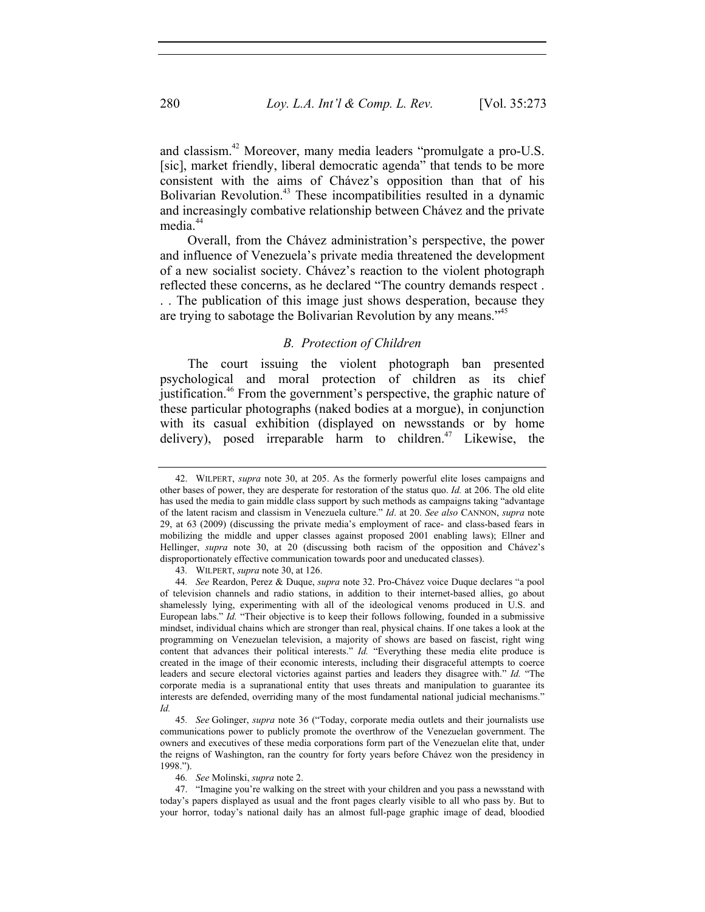and classism.<sup>42</sup> Moreover, many media leaders "promulgate a pro-U.S. [sic], market friendly, liberal democratic agenda<sup>"</sup> that tends to be more consistent with the aims of Chávez's opposition than that of his Bolivarian Revolution.<sup>43</sup> These incompatibilities resulted in a dynamic and increasingly combative relationship between Chávez and the private media.<sup>44</sup>

Overall, from the Chávez administration's perspective, the power and influence of Venezuela's private media threatened the development of a new socialist society. Chávez's reaction to the violent photograph reflected these concerns, as he declared "The country demands respect . . . The publication of this image just shows desperation, because they are trying to sabotage the Bolivarian Revolution by any means.<sup>345</sup>

#### *B. Protection of Children*

The court issuing the violent photograph ban presented psychological and moral protection of children as its chief justification.<sup>46</sup> From the government's perspective, the graphic nature of these particular photographs (naked bodies at a morgue), in conjunction with its casual exhibition (displayed on newsstands or by home delivery), posed irreparable harm to children. $47$  Likewise, the

43*.* WILPERT, *supra* note 30, at 126.

46*. See* Molinski, *supra* note 2.

 47. "Imagine you're walking on the street with your children and you pass a newsstand with today's papers displayed as usual and the front pages clearly visible to all who pass by. But to your horror, today's national daily has an almost full-page graphic image of dead, bloodied

 <sup>42.</sup> WILPERT, *supra* note 30, at 205. As the formerly powerful elite loses campaigns and other bases of power, they are desperate for restoration of the status quo. *Id.* at 206. The old elite has used the media to gain middle class support by such methods as campaigns taking "advantage of the latent racism and classism in Venezuela culture." *Id*. at 20. *See also* CANNON, *supra* note 29, at 63 (2009) (discussing the private media's employment of race- and class-based fears in mobilizing the middle and upper classes against proposed 2001 enabling laws); Ellner and Hellinger, *supra* note 30, at 20 (discussing both racism of the opposition and Chávez's disproportionately effective communication towards poor and uneducated classes).

<sup>44</sup>*. See* Reardon, Perez & Duque, *supra* note 32. Pro-Chávez voice Duque declares "a pool of television channels and radio stations, in addition to their internet-based allies, go about shamelessly lying, experimenting with all of the ideological venoms produced in U.S. and European labs." *Id.* "Their objective is to keep their follows following, founded in a submissive mindset, individual chains which are stronger than real, physical chains. If one takes a look at the programming on Venezuelan television, a majority of shows are based on fascist, right wing content that advances their political interests." *Id.* "Everything these media elite produce is created in the image of their economic interests, including their disgraceful attempts to coerce leaders and secure electoral victories against parties and leaders they disagree with." *Id.* "The corporate media is a supranational entity that uses threats and manipulation to guarantee its interests are defended, overriding many of the most fundamental national judicial mechanisms." *Id.* 

<sup>45</sup>*. See* Golinger, *supra* note 36 ("Today, corporate media outlets and their journalists use communications power to publicly promote the overthrow of the Venezuelan government. The owners and executives of these media corporations form part of the Venezuelan elite that, under the reigns of Washington, ran the country for forty years before Chávez won the presidency in 1998.").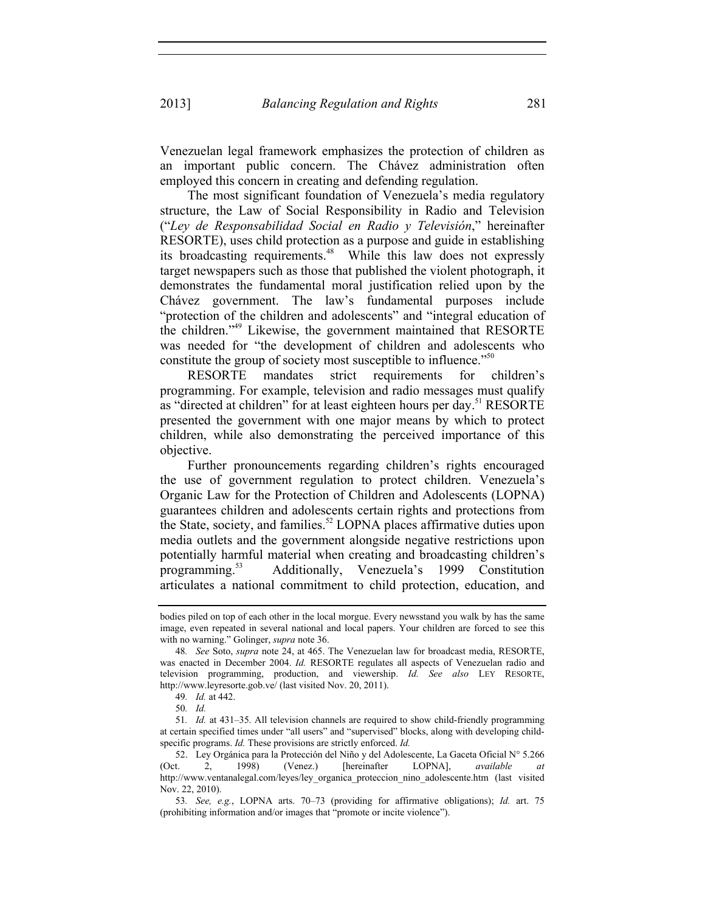Venezuelan legal framework emphasizes the protection of children as an important public concern. The Chávez administration often employed this concern in creating and defending regulation.

The most significant foundation of Venezuela's media regulatory structure, the Law of Social Responsibility in Radio and Television ("*Ley de Responsabilidad Social en Radio y Televisión*," hereinafter RESORTE), uses child protection as a purpose and guide in establishing its broadcasting requirements.<sup>48</sup> While this law does not expressly target newspapers such as those that published the violent photograph, it demonstrates the fundamental moral justification relied upon by the Chávez government. The law's fundamental purposes include "protection of the children and adolescents" and "integral education of the children."49 Likewise, the government maintained that RESORTE was needed for "the development of children and adolescents who constitute the group of society most susceptible to influence."<sup>50</sup>

RESORTE mandates strict requirements for children's programming. For example, television and radio messages must qualify as "directed at children" for at least eighteen hours per day.<sup>51</sup> RESORTE presented the government with one major means by which to protect children, while also demonstrating the perceived importance of this objective.

Further pronouncements regarding children's rights encouraged the use of government regulation to protect children. Venezuela's Organic Law for the Protection of Children and Adolescents (LOPNA) guarantees children and adolescents certain rights and protections from the State, society, and families.<sup>52</sup> LOPNA places affirmative duties upon media outlets and the government alongside negative restrictions upon potentially harmful material when creating and broadcasting children's programming.53 Additionally, Venezuela's 1999 Constitution articulates a national commitment to child protection, education, and

50*. Id.*

bodies piled on top of each other in the local morgue. Every newsstand you walk by has the same image, even repeated in several national and local papers. Your children are forced to see this with no warning." Golinger, *supra* note 36.

<sup>48</sup>*. See* Soto, *supra* note 24, at 465. The Venezuelan law for broadcast media, RESORTE, was enacted in December 2004. *Id.* RESORTE regulates all aspects of Venezuelan radio and television programming, production, and viewership. *Id. See also* LEY RESORTE, http://www.leyresorte.gob.ve/ (last visited Nov. 20, 2011).

<sup>49</sup>*. Id.* at 442.

<sup>51</sup>*. Id.* at 431–35. All television channels are required to show child-friendly programming at certain specified times under "all users" and "supervised" blocks, along with developing childspecific programs. *Id.* These provisions are strictly enforced. *Id.* 

 <sup>52.</sup> Ley Orgánica para la Protección del Niño y del Adolescente, La Gaceta Oficial N° 5.266 (Oct. 2, 1998) (Venez.) [hereinafter LOPNA], *available at* http://www.ventanalegal.com/leyes/ley\_organica\_proteccion\_nino\_adolescente.htm (last visited Nov. 22, 2010).

<sup>53</sup>*. See, e.g.*, LOPNA arts. 70–73 (providing for affirmative obligations); *Id.* art. 75 (prohibiting information and/or images that "promote or incite violence").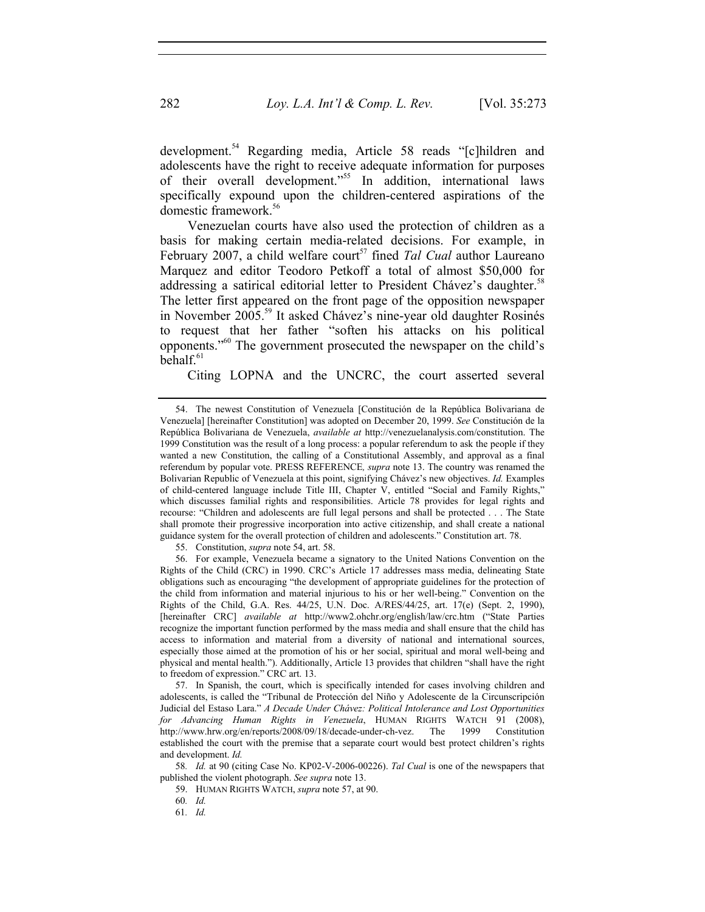development.<sup>54</sup> Regarding media, Article 58 reads "[c]hildren and adolescents have the right to receive adequate information for purposes of their overall development."55 In addition, international laws specifically expound upon the children-centered aspirations of the domestic framework.56

Venezuelan courts have also used the protection of children as a basis for making certain media-related decisions. For example, in February 2007, a child welfare court<sup>57</sup> fined *Tal Cual* author Laureano Marquez and editor Teodoro Petkoff a total of almost \$50,000 for addressing a satirical editorial letter to President Chávez's daughter.<sup>58</sup> The letter first appeared on the front page of the opposition newspaper in November 2005.<sup>59</sup> It asked Chávez's nine-year old daughter Rosinés to request that her father "soften his attacks on his political opponents."60 The government prosecuted the newspaper on the child's  $behalf<sup>61</sup>$ 

Citing LOPNA and the UNCRC, the court asserted several

55. Constitution, *supra* note 54, art. 58.

 56. For example, Venezuela became a signatory to the United Nations Convention on the Rights of the Child (CRC) in 1990. CRC's Article 17 addresses mass media, delineating State obligations such as encouraging "the development of appropriate guidelines for the protection of the child from information and material injurious to his or her well-being." Convention on the Rights of the Child, G.A. Res. 44/25, U.N. Doc. A/RES/44/25, art. 17(e) (Sept. 2, 1990), [hereinafter CRC] *available at* http://www2.ohchr.org/english/law/crc.htm ("State Parties recognize the important function performed by the mass media and shall ensure that the child has access to information and material from a diversity of national and international sources, especially those aimed at the promotion of his or her social, spiritual and moral well-being and physical and mental health."). Additionally, Article 13 provides that children "shall have the right to freedom of expression." CRC art. 13.

 57. In Spanish, the court, which is specifically intended for cases involving children and adolescents, is called the "Tribunal de Protección del Niño y Adolescente de la Circunscripción Judicial del Estaso Lara." *A Decade Under Chávez: Political Intolerance and Lost Opportunities for Advancing Human Rights in Venezuela*, HUMAN RIGHTS WATCH 91 (2008), http://www.hrw.org/en/reports/2008/09/18/decade-under-ch-vez. The 1999 Constitution established the court with the premise that a separate court would best protect children's rights and development. *Id.*

58*. Id.* at 90 (citing Case No. KP02-V-2006-00226). *Tal Cual* is one of the newspapers that published the violent photograph. *See supra* note 13.

59. HUMAN RIGHTS WATCH, *supra* note 57, at 90.

60*. Id.*

61*. Id.*

 <sup>54.</sup> The newest Constitution of Venezuela [Constitución de la República Bolivariana de Venezuela] [hereinafter Constitution] was adopted on December 20, 1999. *See* Constitución de la República Bolivariana de Venezuela, *available at* http://venezuelanalysis.com/constitution. The 1999 Constitution was the result of a long process: a popular referendum to ask the people if they wanted a new Constitution, the calling of a Constitutional Assembly, and approval as a final referendum by popular vote. PRESS REFERENCE*, supra* note 13. The country was renamed the Bolivarian Republic of Venezuela at this point, signifying Chávez's new objectives. *Id.* Examples of child-centered language include Title III, Chapter V, entitled "Social and Family Rights," which discusses familial rights and responsibilities. Article 78 provides for legal rights and recourse: "Children and adolescents are full legal persons and shall be protected . . . The State shall promote their progressive incorporation into active citizenship, and shall create a national guidance system for the overall protection of children and adolescents." Constitution art. 78.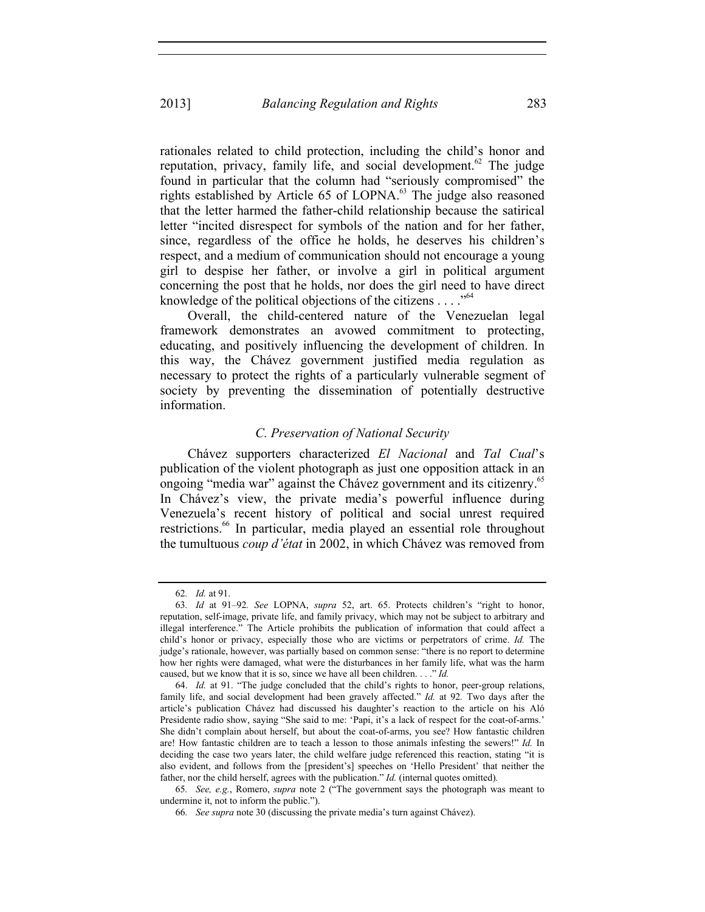rationales related to child protection, including the child's honor and reputation, privacy, family life, and social development.<sup>62</sup> The judge found in particular that the column had "seriously compromised" the rights established by Article 65 of LOPNA.<sup>63</sup> The judge also reasoned that the letter harmed the father-child relationship because the satirical letter "incited disrespect for symbols of the nation and for her father, since, regardless of the office he holds, he deserves his children's respect, and a medium of communication should not encourage a young girl to despise her father, or involve a girl in political argument concerning the post that he holds, nor does the girl need to have direct knowledge of the political objections of the citizens . . . ."<sup>64</sup>

Overall, the child-centered nature of the Venezuelan legal framework demonstrates an avowed commitment to protecting, educating, and positively influencing the development of children. In this way, the Chávez government justified media regulation as necessary to protect the rights of a particularly vulnerable segment of society by preventing the dissemination of potentially destructive information.

## *C. Preservation of National Security*

Chávez supporters characterized *El Nacional* and *Tal Cual*'s publication of the violent photograph as just one opposition attack in an ongoing "media war" against the Chávez government and its citizenry.<sup>65</sup> In Chávez's view, the private media's powerful influence during Venezuela's recent history of political and social unrest required restrictions.<sup>66</sup> In particular, media played an essential role throughout the tumultuous *coup d'état* in 2002, in which Chávez was removed from

<sup>62</sup>*. Id.* at 91.

<sup>63</sup>*. Id* at 91–92*. See* LOPNA, *supra* 52, art. 65. Protects children's "right to honor, reputation, self-image, private life, and family privacy, which may not be subject to arbitrary and illegal interference." The Article prohibits the publication of information that could affect a child's honor or privacy, especially those who are victims or perpetrators of crime. *Id.* The judge's rationale, however, was partially based on common sense: "there is no report to determine how her rights were damaged, what were the disturbances in her family life, what was the harm caused, but we know that it is so, since we have all been children. . . ." *Id.* 

 <sup>64.</sup> *Id.* at 91. "The judge concluded that the child's rights to honor, peer-group relations, family life, and social development had been gravely affected." *Id.* at 92*.* Two days after the article's publication Chávez had discussed his daughter's reaction to the article on his Aló Presidente radio show, saying "She said to me: 'Papi, it's a lack of respect for the coat-of-arms.' She didn't complain about herself, but about the coat-of-arms, you see? How fantastic children are! How fantastic children are to teach a lesson to those animals infesting the sewers!" *Id.* In deciding the case two years later, the child welfare judge referenced this reaction, stating "it is also evident, and follows from the [president's] speeches on 'Hello President' that neither the father, nor the child herself, agrees with the publication." *Id.* (internal quotes omitted).

<sup>65</sup>*. See, e.g.*, Romero, *supra* note 2 ("The government says the photograph was meant to undermine it, not to inform the public.").

<sup>66</sup>*. See supra* note 30 (discussing the private media's turn against Chávez).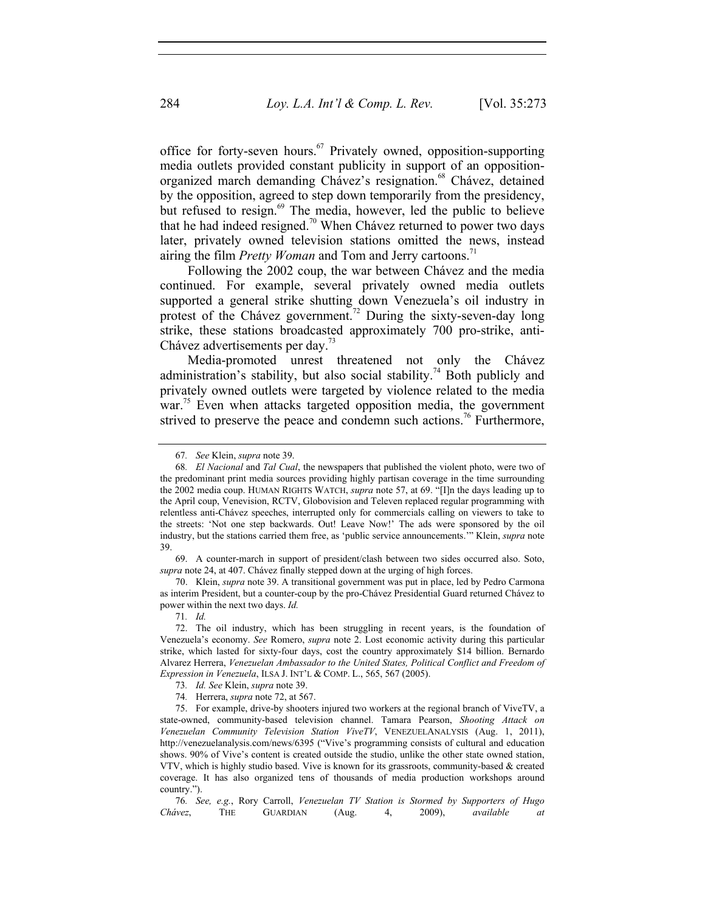office for forty-seven hours. $67$  Privately owned, opposition-supporting media outlets provided constant publicity in support of an oppositionorganized march demanding Chávez's resignation.<sup>68</sup> Chávez, detained by the opposition, agreed to step down temporarily from the presidency, but refused to resign.<sup>69</sup> The media, however, led the public to believe that he had indeed resigned.<sup>70</sup> When Chávez returned to power two days later, privately owned television stations omitted the news, instead airing the film *Pretty Woman* and Tom and Jerry cartoons.<sup>71</sup>

Following the 2002 coup, the war between Chávez and the media continued. For example, several privately owned media outlets supported a general strike shutting down Venezuela's oil industry in protest of the Chávez government.<sup>72</sup> During the sixty-seven-day long strike, these stations broadcasted approximately 700 pro-strike, anti-Chávez advertisements per day.<sup>73</sup>

Media-promoted unrest threatened not only the Chávez administration's stability, but also social stability.<sup>74</sup> Both publicly and privately owned outlets were targeted by violence related to the media war.<sup>75</sup> Even when attacks targeted opposition media, the government strived to preserve the peace and condemn such actions.<sup>76</sup> Furthermore,

 69. A counter-march in support of president/clash between two sides occurred also. Soto, *supra* note 24, at 407. Chávez finally stepped down at the urging of high forces.

 70. Klein, *supra* note 39. A transitional government was put in place, led by Pedro Carmona as interim President, but a counter-coup by the pro-Chávez Presidential Guard returned Chávez to power within the next two days. *Id.* 

<sup>67</sup>*. See* Klein, *supra* note 39.

<sup>68</sup>*. El Nacional* and *Tal Cual*, the newspapers that published the violent photo, were two of the predominant print media sources providing highly partisan coverage in the time surrounding the 2002 media coup. HUMAN RIGHTS WATCH, *supra* note 57, at 69. "[I]n the days leading up to the April coup, Venevision, RCTV, Globovision and Televen replaced regular programming with relentless anti-Chávez speeches, interrupted only for commercials calling on viewers to take to the streets: 'Not one step backwards. Out! Leave Now!' The ads were sponsored by the oil industry, but the stations carried them free, as 'public service announcements.'" Klein, *supra* note 39.

<sup>71</sup>*. Id.* 

 <sup>72.</sup> The oil industry, which has been struggling in recent years, is the foundation of Venezuela's economy. *See* Romero, *supra* note 2. Lost economic activity during this particular strike, which lasted for sixty-four days, cost the country approximately \$14 billion. Bernardo Alvarez Herrera, *Venezuelan Ambassador to the United States, Political Conflict and Freedom of Expression in Venezuela*, ILSA J. INT'L & COMP. L., 565, 567 (2005).

<sup>73</sup>*. Id. See* Klein, *supra* note 39.

<sup>74</sup>*.* Herrera, *supra* note 72, at 567.

 <sup>75.</sup> For example, drive-by shooters injured two workers at the regional branch of ViveTV, a state-owned, community-based television channel. Tamara Pearson, *Shooting Attack on Venezuelan Community Television Station ViveTV*, VENEZUELANALYSIS (Aug. 1, 2011), http://venezuelanalysis.com/news/6395 ("Vive's programming consists of cultural and education shows. 90% of Vive's content is created outside the studio, unlike the other state owned station, VTV, which is highly studio based. Vive is known for its grassroots, community-based & created coverage. It has also organized tens of thousands of media production workshops around country.").

<sup>76</sup>*. See, e.g.*, Rory Carroll, *Venezuelan TV Station is Stormed by Supporters of Hugo Chávez*, THE GUARDIAN (Aug. 4, 2009), *available at*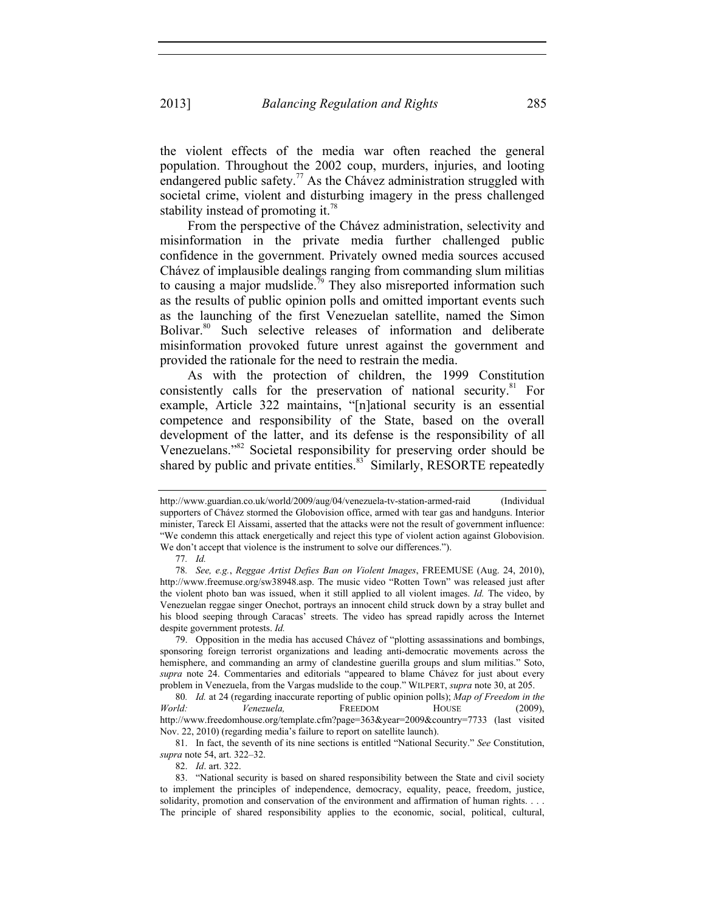the violent effects of the media war often reached the general population. Throughout the 2002 coup, murders, injuries, and looting endangered public safety.<sup>77</sup> As the Chávez administration struggled with societal crime, violent and disturbing imagery in the press challenged stability instead of promoting it.<sup>78</sup>

From the perspective of the Chávez administration, selectivity and misinformation in the private media further challenged public confidence in the government. Privately owned media sources accused Chávez of implausible dealings ranging from commanding slum militias to causing a major mudslide.<sup>79</sup> They also misreported information such as the results of public opinion polls and omitted important events such as the launching of the first Venezuelan satellite, named the Simon Bolivar.<sup>80</sup> Such selective releases of information and deliberate misinformation provoked future unrest against the government and provided the rationale for the need to restrain the media.

As with the protection of children, the 1999 Constitution consistently calls for the preservation of national security.<sup>81</sup> For example, Article 322 maintains, "[n]ational security is an essential competence and responsibility of the State, based on the overall development of the latter, and its defense is the responsibility of all Venezuelans."82 Societal responsibility for preserving order should be shared by public and private entities.<sup>83</sup> Similarly, RESORTE repeatedly

82. *Id*. art. 322.

http://www.guardian.co.uk/world/2009/aug/04/venezuela-tv-station-armed-raid (Individual supporters of Chávez stormed the Globovision office, armed with tear gas and handguns. Interior minister, Tareck El Aissami, asserted that the attacks were not the result of government influence: "We condemn this attack energetically and reject this type of violent action against Globovision. We don't accept that violence is the instrument to solve our differences.").

<sup>77</sup>*. Id.*

<sup>78</sup>*. See, e.g.*, *Reggae Artist Defies Ban on Violent Images*, FREEMUSE (Aug. 24, 2010), http://www.freemuse.org/sw38948.asp. The music video "Rotten Town" was released just after the violent photo ban was issued, when it still applied to all violent images. *Id.* The video, by Venezuelan reggae singer Onechot, portrays an innocent child struck down by a stray bullet and his blood seeping through Caracas' streets. The video has spread rapidly across the Internet despite government protests. *Id.* 

 <sup>79.</sup> Opposition in the media has accused Chávez of "plotting assassinations and bombings, sponsoring foreign terrorist organizations and leading anti-democratic movements across the hemisphere, and commanding an army of clandestine guerilla groups and slum militias." Soto, *supra* note 24. Commentaries and editorials "appeared to blame Chávez for just about every problem in Venezuela, from the Vargas mudslide to the coup." WILPERT, *supra* note 30, at 205.

<sup>80</sup>*. Id.* at 24 (regarding inaccurate reporting of public opinion polls); *Map of Freedom in the World: Venezuela,* FREEDOM HOUSE (2009), http://www.freedomhouse.org/template.cfm?page=363&year=2009&country=7733 (last visited Nov. 22, 2010) (regarding media's failure to report on satellite launch).

 <sup>81.</sup> In fact, the seventh of its nine sections is entitled "National Security." *See* Constitution, *supra* note 54, art. 322–32.

 <sup>83. &</sup>quot;National security is based on shared responsibility between the State and civil society to implement the principles of independence, democracy, equality, peace, freedom, justice, solidarity, promotion and conservation of the environment and affirmation of human rights. . . . The principle of shared responsibility applies to the economic, social, political, cultural,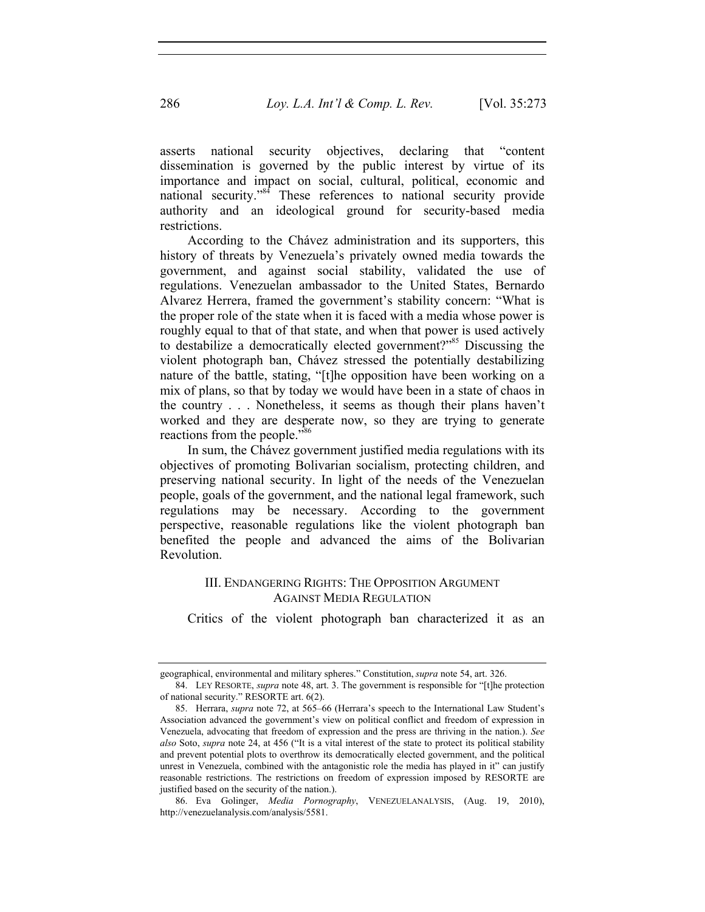asserts national security objectives, declaring that "content dissemination is governed by the public interest by virtue of its importance and impact on social, cultural, political, economic and national security."<sup>84</sup> These references to national security provide authority and an ideological ground for security-based media restrictions.

According to the Chávez administration and its supporters, this history of threats by Venezuela's privately owned media towards the government, and against social stability, validated the use of regulations. Venezuelan ambassador to the United States, Bernardo Alvarez Herrera, framed the government's stability concern: "What is the proper role of the state when it is faced with a media whose power is roughly equal to that of that state, and when that power is used actively to destabilize a democratically elected government?"<sup>85</sup> Discussing the violent photograph ban, Chávez stressed the potentially destabilizing nature of the battle, stating, "[t]he opposition have been working on a mix of plans, so that by today we would have been in a state of chaos in the country . . . Nonetheless, it seems as though their plans haven't worked and they are desperate now, so they are trying to generate reactions from the people."<sup>86</sup>

In sum, the Chávez government justified media regulations with its objectives of promoting Bolivarian socialism, protecting children, and preserving national security. In light of the needs of the Venezuelan people, goals of the government, and the national legal framework, such regulations may be necessary. According to the government perspective, reasonable regulations like the violent photograph ban benefited the people and advanced the aims of the Bolivarian Revolution.

## III. ENDANGERING RIGHTS: THE OPPOSITION ARGUMENT AGAINST MEDIA REGULATION

Critics of the violent photograph ban characterized it as an

geographical, environmental and military spheres." Constitution, *supra* note 54, art. 326.

 <sup>84.</sup> LEY RESORTE, *supra* note 48, art. 3. The government is responsible for "[t]he protection of national security." RESORTE art. 6(2).

 <sup>85.</sup> Herrara, *supra* note 72, at 565–66 (Herrara's speech to the International Law Student's Association advanced the government's view on political conflict and freedom of expression in Venezuela, advocating that freedom of expression and the press are thriving in the nation.). *See also* Soto, *supra* note 24, at 456 ("It is a vital interest of the state to protect its political stability and prevent potential plots to overthrow its democratically elected government, and the political unrest in Venezuela, combined with the antagonistic role the media has played in it" can justify reasonable restrictions. The restrictions on freedom of expression imposed by RESORTE are justified based on the security of the nation.).

 <sup>86.</sup> Eva Golinger, *Media Pornography*, VENEZUELANALYSIS, (Aug. 19, 2010), http://venezuelanalysis.com/analysis/5581.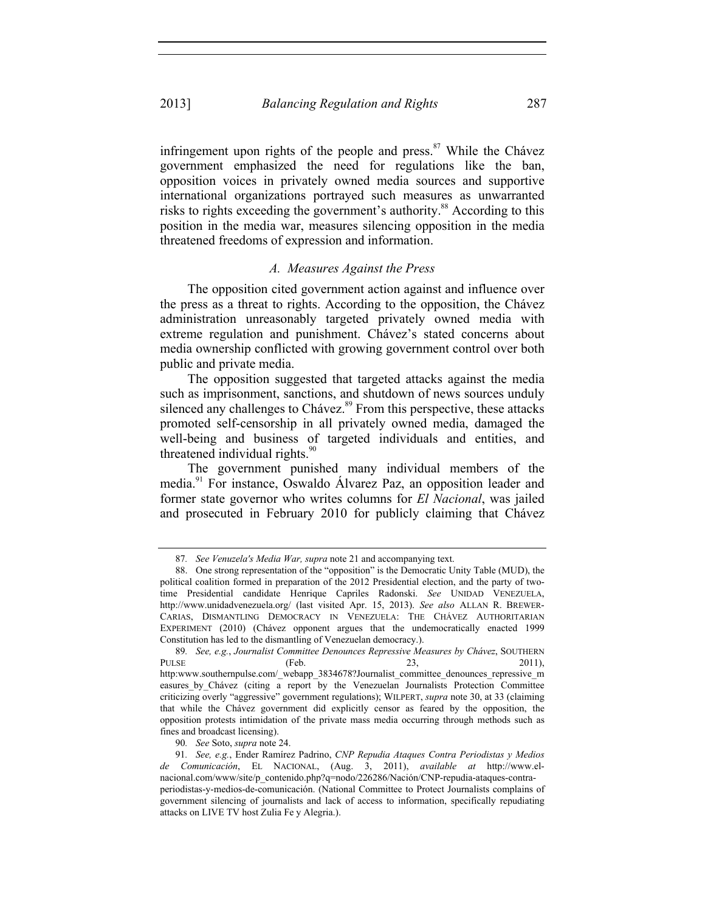infringement upon rights of the people and press. $87$  While the Chávez government emphasized the need for regulations like the ban, opposition voices in privately owned media sources and supportive international organizations portrayed such measures as unwarranted risks to rights exceeding the government's authority.<sup>88</sup> According to this position in the media war, measures silencing opposition in the media threatened freedoms of expression and information.

# *A. Measures Against the Press*

The opposition cited government action against and influence over the press as a threat to rights. According to the opposition, the Chávez administration unreasonably targeted privately owned media with extreme regulation and punishment. Chávez's stated concerns about media ownership conflicted with growing government control over both public and private media.

The opposition suggested that targeted attacks against the media such as imprisonment, sanctions, and shutdown of news sources unduly silenced any challenges to Chávez.<sup>89</sup> From this perspective, these attacks promoted self-censorship in all privately owned media, damaged the well-being and business of targeted individuals and entities, and threatened individual rights. $90$ 

The government punished many individual members of the media.91 For instance, Oswaldo Álvarez Paz, an opposition leader and former state governor who writes columns for *El Nacional*, was jailed and prosecuted in February 2010 for publicly claiming that Chávez

<sup>87</sup>*. See Venuzela's Media War, supra* note 21 and accompanying text.

 <sup>88.</sup> One strong representation of the "opposition" is the Democratic Unity Table (MUD), the political coalition formed in preparation of the 2012 Presidential election, and the party of twotime Presidential candidate Henrique Capriles Radonski. *See* UNIDAD VENEZUELA, http://www.unidadvenezuela.org/ (last visited Apr. 15, 2013). *See also* ALLAN R. BREWER-CARIAS, DISMANTLING DEMOCRACY IN VENEZUELA: THE CHÁVEZ AUTHORITARIAN EXPERIMENT (2010) (Chávez opponent argues that the undemocratically enacted 1999 Constitution has led to the dismantling of Venezuelan democracy.).

<sup>89</sup>*. See, e.g.*, *Journalist Committee Denounces Repressive Measures by Chávez*, SOUTHERN PULSE (Feb. 23, 2011), http:www.southernpulse.com/\_webapp\_3834678?Journalist\_committee\_denounces\_repressive\_m easures by Chávez (citing a report by the Venezuelan Journalists Protection Committee criticizing overly "aggressive" government regulations); WILPERT, *supra* note 30, at 33 (claiming that while the Chávez government did explicitly censor as feared by the opposition, the opposition protests intimidation of the private mass media occurring through methods such as fines and broadcast licensing).

<sup>90</sup>*. See* Soto, *supra* note 24.

<sup>91</sup>*. See, e.g.*, Ender Ramírez Padrino, *CNP Repudia Ataques Contra Periodistas y Medios de Comunicación*, EL NACIONAL, (Aug. 3, 2011), *available at* http://www.elnacional.com/www/site/p\_contenido.php?q=nodo/226286/Nación/CNP-repudia-ataques-contraperiodistas-y-medios-de-comunicación. (National Committee to Protect Journalists complains of government silencing of journalists and lack of access to information, specifically repudiating attacks on LIVE TV host Zulia Fe y Alegria.).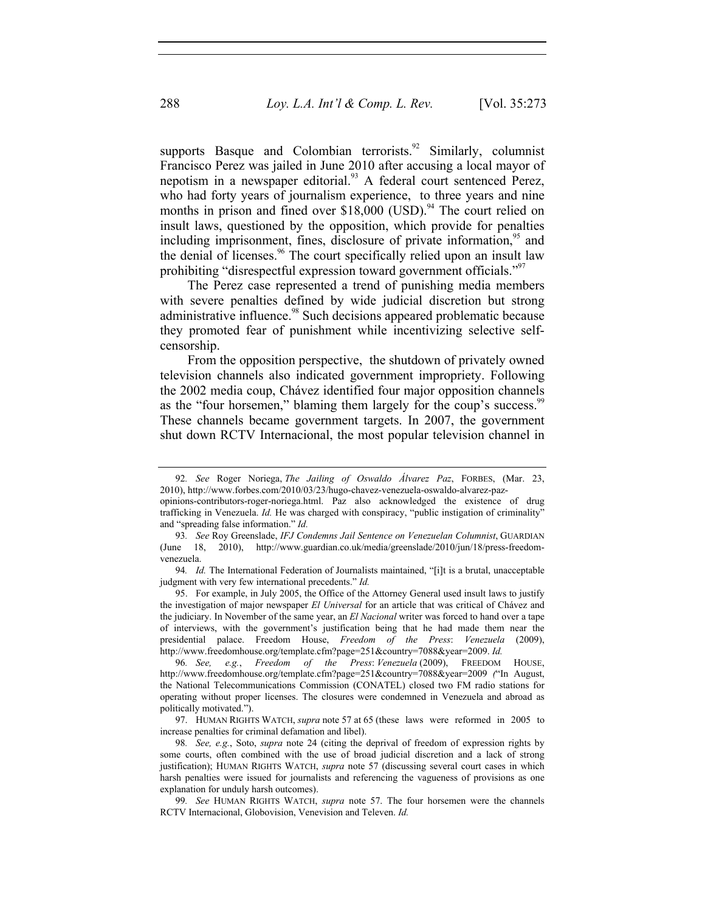supports Basque and Colombian terrorists.<sup>92</sup> Similarly, columnist Francisco Perez was jailed in June 2010 after accusing a local mayor of nepotism in a newspaper editorial.<sup>93</sup> A federal court sentenced Perez, who had forty years of journalism experience, to three years and nine months in prison and fined over  $$18,000$  (USD).<sup>94</sup> The court relied on insult laws, questioned by the opposition, which provide for penalties including imprisonment, fines, disclosure of private information,<sup>95</sup> and the denial of licenses.<sup>96</sup> The court specifically relied upon an insult law prohibiting "disrespectful expression toward government officials."97

The Perez case represented a trend of punishing media members with severe penalties defined by wide judicial discretion but strong administrative influence.<sup>98</sup> Such decisions appeared problematic because they promoted fear of punishment while incentivizing selective selfcensorship.

From the opposition perspective, the shutdown of privately owned television channels also indicated government impropriety. Following the 2002 media coup, Chávez identified four major opposition channels as the "four horsemen," blaming them largely for the coup's success.<sup>99</sup> These channels became government targets. In 2007, the government shut down RCTV Internacional, the most popular television channel in

 95. For example, in July 2005, the Office of the Attorney General used insult laws to justify the investigation of major newspaper *El Universal* for an article that was critical of Chávez and the judiciary. In November of the same year, an *El Nacional* writer was forced to hand over a tape of interviews, with the government's justification being that he had made them near the presidential palace. Freedom House, *Freedom of the Press*: *Venezuela* (2009), http://www.freedomhouse.org/template.cfm?page=251&country=7088&year=2009. *Id.*

96*. See, e.g.*, *Freedom of the Press*: *Venezuela* (2009), FREEDOM HOUSE, http://www.freedomhouse.org/template.cfm?page=251&country=7088&year=2009 *(*"In August, the National Telecommunications Commission (CONATEL) closed two FM radio stations for operating without proper licenses. The closures were condemned in Venezuela and abroad as politically motivated.").

 97. HUMAN RIGHTS WATCH, *supra* note 57 at 65 (these laws were reformed in 2005 to increase penalties for criminal defamation and libel).

<sup>92</sup>*. See* Roger Noriega, *The Jailing of Oswaldo Álvarez Paz*, FORBES, (Mar. 23, 2010), http://www.forbes.com/2010/03/23/hugo-chavez-venezuela-oswaldo-alvarez-paz-

opinions-contributors-roger-noriega.html. Paz also acknowledged the existence of drug trafficking in Venezuela. *Id.* He was charged with conspiracy, "public instigation of criminality" and "spreading false information." *Id.*

<sup>93</sup>*. See* Roy Greenslade, *IFJ Condemns Jail Sentence on Venezuelan Columnist*, GUARDIAN (June 18, 2010), http://www.guardian.co.uk/media/greenslade/2010/jun/18/press-freedomvenezuela.

<sup>94.</sup> *Id.* The International Federation of Journalists maintained, "[i]t is a brutal, unacceptable judgment with very few international precedents." *Id.* 

<sup>98</sup>*. See, e.g.*, Soto, *supra* note 24 (citing the deprival of freedom of expression rights by some courts, often combined with the use of broad judicial discretion and a lack of strong justification); HUMAN RIGHTS WATCH, *supra* note 57 (discussing several court cases in which harsh penalties were issued for journalists and referencing the vagueness of provisions as one explanation for unduly harsh outcomes).

<sup>99</sup>*. See* HUMAN RIGHTS WATCH, *supra* note 57. The four horsemen were the channels RCTV Internacional, Globovision, Venevision and Televen. *Id.*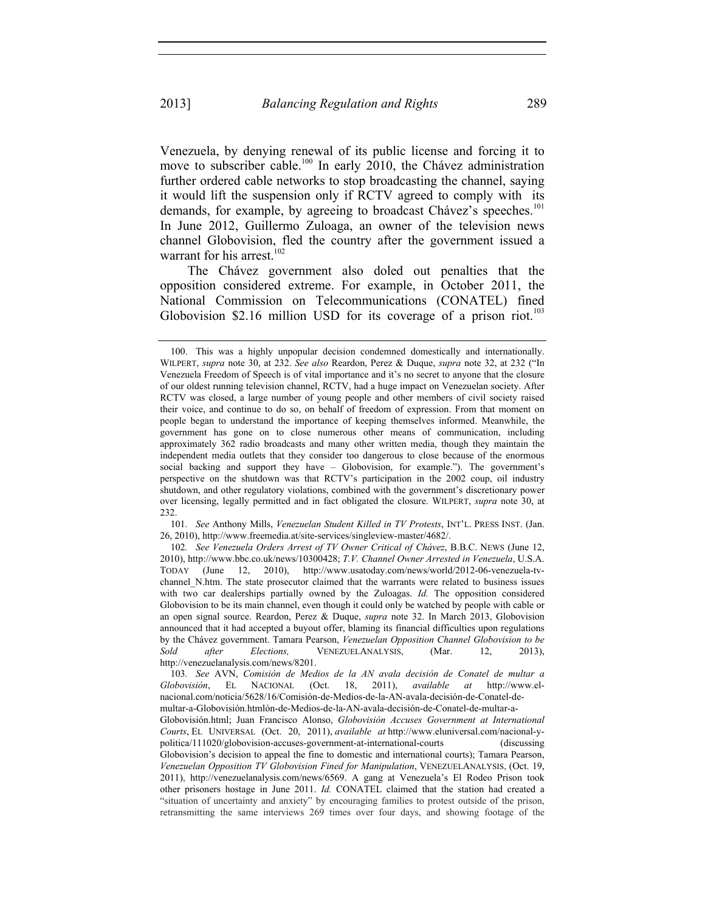Venezuela, by denying renewal of its public license and forcing it to move to subscriber cable.<sup>100</sup> In early 2010, the Chávez administration further ordered cable networks to stop broadcasting the channel, saying it would lift the suspension only if RCTV agreed to comply with its demands, for example, by agreeing to broadcast Chávez's speeches.<sup>101</sup> In June 2012, Guillermo Zuloaga, an owner of the television news channel Globovision, fled the country after the government issued a warrant for his arrest. $102$ 

The Chávez government also doled out penalties that the opposition considered extreme. For example, in October 2011, the National Commission on Telecommunications (CONATEL) fined Globovision \$2.16 million USD for its coverage of a prison riot.<sup>103</sup>

101*. See* Anthony Mills, *Venezuelan Student Killed in TV Protests*, INT'L. PRESS INST. (Jan. 26, 2010), http://www.freemedia.at/site-services/singleview-master/4682/.

102*. See Venezuela Orders Arrest of TV Owner Critical of Chávez*, B.B.C. NEWS (June 12, 2010), http://www.bbc.co.uk/news/10300428; *T.V. Channel Owner Arrested in Venezuela*, U.S.A. TODAY (June 12, 2010), http://www.usatoday.com/news/world/2012-06-venezuela-tvchannel N.htm. The state prosecutor claimed that the warrants were related to business issues with two car dealerships partially owned by the Zuloagas. *Id.* The opposition considered Globovision to be its main channel, even though it could only be watched by people with cable or an open signal source. Reardon, Perez & Duque, *supra* note 32. In March 2013, Globovision announced that it had accepted a buyout offer, blaming its financial difficulties upon regulations by the Chávez government. Tamara Pearson, *Venezuelan Opposition Channel Globovision to be Sold after Elections,* VENEZUELANALYSIS, (Mar. 12, 2013), http://venezuelanalysis.com/news/8201.

103*. See* AVN, *Comisión de Medios de la AN avala decisión de Conatel de multar a Globovisión*, EL NACIONAL (Oct. 18, 2011), *available at* http://www.elnacional.com/noticia/5628/16/Comisión-de-Medios-de-la-AN-avala-decisión-de-Conatel-demultar-a-Globovisión.htmlón-de-Medios-de-la-AN-avala-decisión-de-Conatel-de-multar-a-

Globovisión.html; Juan Francisco Alonso, *Globovisión Accuses Government at International Courts*, EL UNIVERSAL (Oct. 20, 2011), *available at* http://www.eluniversal.com/nacional-ypolitica/111020/globovision-accuses-government-at-international-courts (discussing Globovision's decision to appeal the fine to domestic and international courts); Tamara Pearson, *Venezuelan Opposition TV Globovision Fined for Manipulation*, VENEZUELANALYSIS, (Oct. 19, 2011), http://venezuelanalysis.com/news/6569. A gang at Venezuela's El Rodeo Prison took other prisoners hostage in June 2011. *Id.* CONATEL claimed that the station had created a "situation of uncertainty and anxiety" by encouraging families to protest outside of the prison, retransmitting the same interviews 269 times over four days, and showing footage of the

 <sup>100.</sup> This was a highly unpopular decision condemned domestically and internationally. WILPERT, *supra* note 30, at 232. *See also* Reardon, Perez & Duque, *supra* note 32, at 232 ("In Venezuela Freedom of Speech is of vital importance and it's no secret to anyone that the closure of our oldest running television channel, RCTV, had a huge impact on Venezuelan society. After RCTV was closed, a large number of young people and other members of civil society raised their voice, and continue to do so, on behalf of freedom of expression. From that moment on people began to understand the importance of keeping themselves informed. Meanwhile, the government has gone on to close numerous other means of communication, including approximately 362 radio broadcasts and many other written media, though they maintain the independent media outlets that they consider too dangerous to close because of the enormous social backing and support they have – Globovision, for example."). The government's perspective on the shutdown was that RCTV's participation in the 2002 coup, oil industry shutdown, and other regulatory violations, combined with the government's discretionary power over licensing, legally permitted and in fact obligated the closure. WILPERT, *supra* note 30, at 232.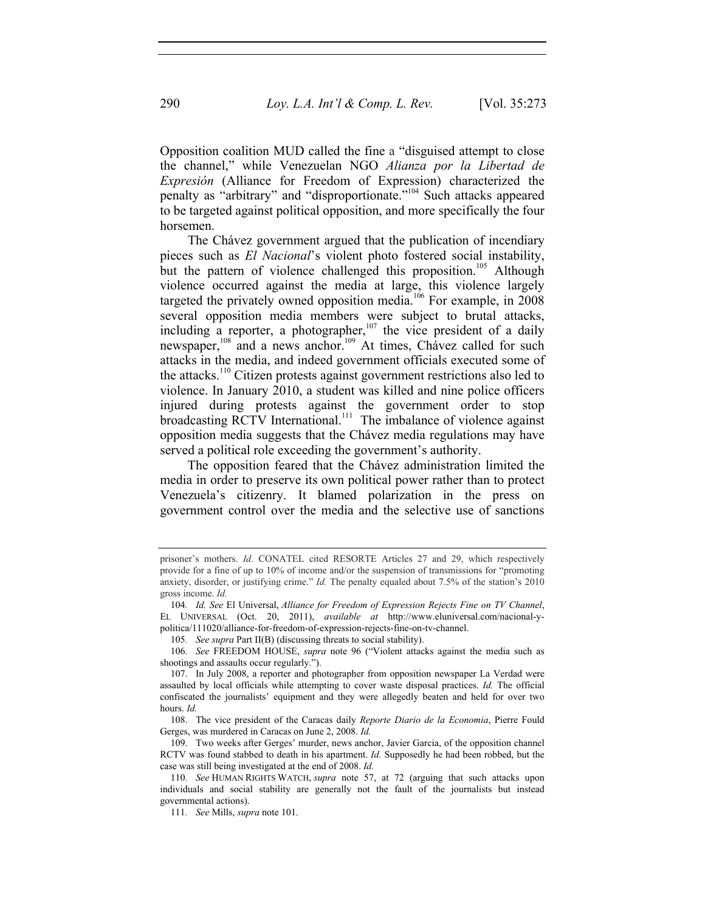Opposition coalition MUD called the fine a "disguised attempt to close the channel," while Venezuelan NGO *Alianza por la Libertad de Expresión* (Alliance for Freedom of Expression) characterized the penalty as "arbitrary" and "disproportionate."104 Such attacks appeared to be targeted against political opposition, and more specifically the four horsemen.

The Chávez government argued that the publication of incendiary pieces such as *El Nacional*'s violent photo fostered social instability, but the pattern of violence challenged this proposition.<sup>105</sup> Although violence occurred against the media at large, this violence largely targeted the privately owned opposition media.<sup>166</sup> For example, in  $2008$ several opposition media members were subject to brutal attacks, including a reporter, a photographer, $107$  the vice president of a daily newspaper,<sup>108</sup> and a news anchor.<sup>109</sup> At times, Chávez called for such attacks in the media, and indeed government officials executed some of the attacks.<sup>110</sup> Citizen protests against government restrictions also led to violence. In January 2010, a student was killed and nine police officers injured during protests against the government order to stop broadcasting RCTV International.<sup>111</sup> The imbalance of violence against opposition media suggests that the Chávez media regulations may have served a political role exceeding the government's authority.

The opposition feared that the Chávez administration limited the media in order to preserve its own political power rather than to protect Venezuela's citizenry. It blamed polarization in the press on government control over the media and the selective use of sanctions

111*. See* Mills, *supra* note 101.

prisoner's mothers. *Id.* CONATEL cited RESORTE Articles 27 and 29, which respectively provide for a fine of up to 10% of income and/or the suspension of transmissions for "promoting anxiety, disorder, or justifying crime." *Id.* The penalty equaled about 7.5% of the station's 2010 gross income. *Id.* 

<sup>104</sup>*. Id. See* El Universal, *Alliance for Freedom of Expression Rejects Fine on TV Channel*, EL UNIVERSAL (Oct. 20, 2011), *available at* http://www.eluniversal.com/nacional-ypolitica/111020/alliance-for-freedom-of-expression-rejects-fine-on-tv-channel.

<sup>105</sup>*. See supra* Part II(B) (discussing threats to social stability).

<sup>106</sup>*. See* FREEDOM HOUSE, *supra* note 96 ("Violent attacks against the media such as shootings and assaults occur regularly.").

 <sup>107.</sup> In July 2008, a reporter and photographer from opposition newspaper La Verdad were assaulted by local officials while attempting to cover waste disposal practices. *Id.* The official confiscated the journalists' equipment and they were allegedly beaten and held for over two hours. *Id.*

 <sup>108.</sup> The vice president of the Caracas daily *Reporte Diario de la Economia*, Pierre Fould Gerges, was murdered in Caracas on June 2, 2008. *Id.*

 <sup>109.</sup> Two weeks after Gerges' murder, news anchor, Javier Garcia, of the opposition channel RCTV was found stabbed to death in his apartment. *Id.* Supposedly he had been robbed, but the case was still being investigated at the end of 2008. *Id.* 

<sup>110</sup>*. See* HUMAN RIGHTS WATCH, *supra* note 57, at 72 (arguing that such attacks upon individuals and social stability are generally not the fault of the journalists but instead governmental actions).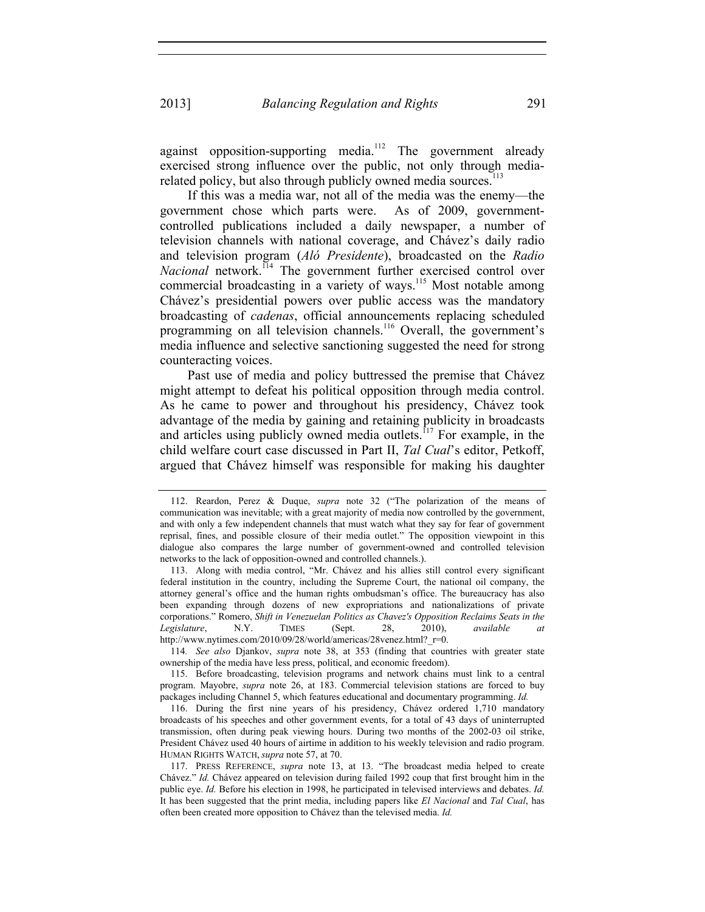against opposition-supporting media.<sup>112</sup> The government already exercised strong influence over the public, not only through mediarelated policy, but also through publicly owned media sources. $^{113}$ 

If this was a media war, not all of the media was the enemy—the government chose which parts were. As of 2009, governmentcontrolled publications included a daily newspaper, a number of television channels with national coverage, and Chávez's daily radio and television program (*Aló Presidente*), broadcasted on the *Radio Nacional* network.<sup>114</sup> The government further exercised control over commercial broadcasting in a variety of ways.<sup>115</sup> Most notable among Chávez's presidential powers over public access was the mandatory broadcasting of *cadenas*, official announcements replacing scheduled programming on all television channels.<sup>116</sup> Overall, the government's media influence and selective sanctioning suggested the need for strong counteracting voices.

Past use of media and policy buttressed the premise that Chávez might attempt to defeat his political opposition through media control. As he came to power and throughout his presidency, Chávez took advantage of the media by gaining and retaining publicity in broadcasts and articles using publicly owned media outlets.<sup>117</sup> For example, in the child welfare court case discussed in Part II, *Tal Cual*'s editor, Petkoff, argued that Chávez himself was responsible for making his daughter

114*. See also* Djankov, *supra* note 38, at 353 (finding that countries with greater state ownership of the media have less press, political, and economic freedom).

 115. Before broadcasting, television programs and network chains must link to a central program. Mayobre, *supra* note 26, at 183. Commercial television stations are forced to buy packages including Channel 5, which features educational and documentary programming. *Id.* 

 116. During the first nine years of his presidency, Chávez ordered 1,710 mandatory broadcasts of his speeches and other government events, for a total of 43 days of uninterrupted transmission, often during peak viewing hours. During two months of the 2002-03 oil strike, President Chávez used 40 hours of airtime in addition to his weekly television and radio program. HUMAN RIGHTS WATCH, *supra* note 57, at 70.

 <sup>112.</sup> Reardon, Perez & Duque, *supra* note 32 ("The polarization of the means of communication was inevitable; with a great majority of media now controlled by the government, and with only a few independent channels that must watch what they say for fear of government reprisal, fines, and possible closure of their media outlet." The opposition viewpoint in this dialogue also compares the large number of government-owned and controlled television networks to the lack of opposition-owned and controlled channels.).

 <sup>113.</sup> Along with media control, "Mr. Chávez and his allies still control every significant federal institution in the country, including the Supreme Court, the national oil company, the attorney general's office and the human rights ombudsman's office. The bureaucracy has also been expanding through dozens of new expropriations and nationalizations of private corporations." Romero, *Shift in Venezuelan Politics as Chavez's Opposition Reclaims Seats in the Legislature*, N.Y. TIMES (Sept. 28, 2010), *available at*  http://www.nytimes.com/2010/09/28/world/americas/28venez.html? r=0.

 <sup>117.</sup> PRESS REFERENCE, *supra* note 13, at 13. "The broadcast media helped to create Chávez." *Id.* Chávez appeared on television during failed 1992 coup that first brought him in the public eye. *Id.* Before his election in 1998, he participated in televised interviews and debates. *Id.*  It has been suggested that the print media, including papers like *El Nacional* and *Tal Cual*, has often been created more opposition to Chávez than the televised media. *Id.*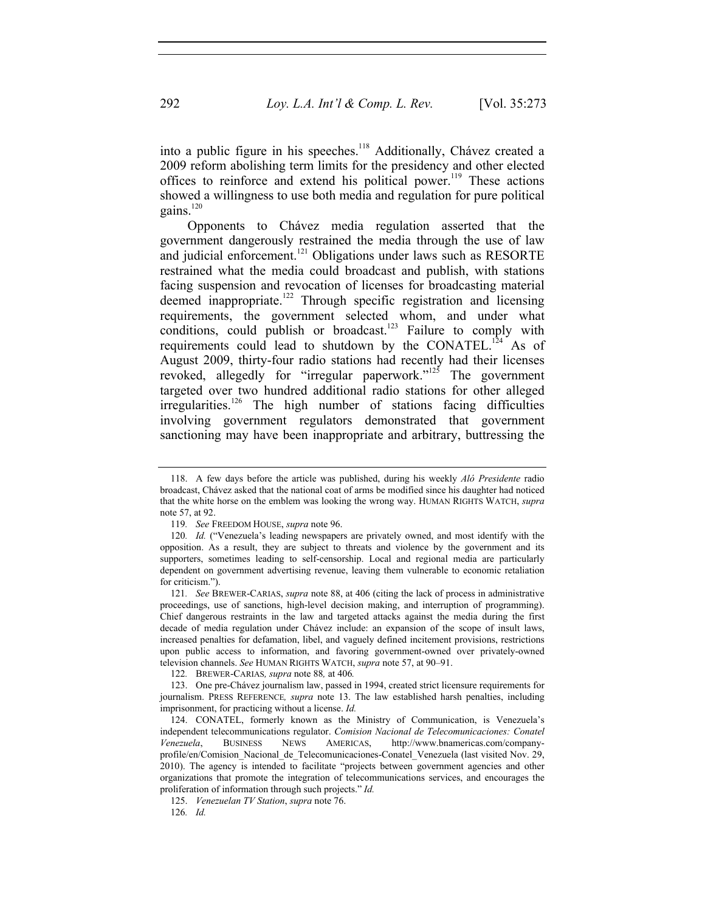into a public figure in his speeches.<sup>118</sup> Additionally, Chávez created a 2009 reform abolishing term limits for the presidency and other elected offices to reinforce and extend his political power.<sup>119</sup> These actions showed a willingness to use both media and regulation for pure political gains. $120$ 

Opponents to Chávez media regulation asserted that the government dangerously restrained the media through the use of law and judicial enforcement.<sup>121</sup> Obligations under laws such as RESORTE restrained what the media could broadcast and publish, with stations facing suspension and revocation of licenses for broadcasting material deemed inappropriate.<sup>122</sup> Through specific registration and licensing requirements, the government selected whom, and under what conditions, could publish or broadcast.<sup>123</sup> Failure to comply with requirements could lead to shutdown by the CONATEL.<sup>124</sup> As of August 2009, thirty-four radio stations had recently had their licenses revoked, allegedly for "irregular paperwork."<sup>125</sup> The government targeted over two hundred additional radio stations for other alleged irregularities.<sup>126</sup> The high number of stations facing difficulties involving government regulators demonstrated that government sanctioning may have been inappropriate and arbitrary, buttressing the

122*.* BREWER-CARIAS*, supra* note 88*,* at 406*.*

 123. One pre-Chávez journalism law, passed in 1994, created strict licensure requirements for journalism. PRESS REFERENCE*, supra* note 13. The law established harsh penalties, including imprisonment, for practicing without a license. *Id.*

 <sup>118.</sup> A few days before the article was published, during his weekly *Aló Presidente* radio broadcast, Chávez asked that the national coat of arms be modified since his daughter had noticed that the white horse on the emblem was looking the wrong way. HUMAN RIGHTS WATCH, *supra* note 57, at 92.

<sup>119</sup>*. See* FREEDOM HOUSE, *supra* note 96.

<sup>120</sup>*. Id.* ("Venezuela's leading newspapers are privately owned, and most identify with the opposition. As a result, they are subject to threats and violence by the government and its supporters, sometimes leading to self-censorship. Local and regional media are particularly dependent on government advertising revenue, leaving them vulnerable to economic retaliation for criticism.").

<sup>121</sup>*. See* BREWER-CARIAS, *supra* note 88, at 406 (citing the lack of process in administrative proceedings, use of sanctions, high-level decision making, and interruption of programming). Chief dangerous restraints in the law and targeted attacks against the media during the first decade of media regulation under Chávez include: an expansion of the scope of insult laws, increased penalties for defamation, libel, and vaguely defined incitement provisions, restrictions upon public access to information, and favoring government-owned over privately-owned television channels. *See* HUMAN RIGHTS WATCH, *supra* note 57, at 90–91.

 <sup>124.</sup> CONATEL, formerly known as the Ministry of Communication, is Venezuela's independent telecommunications regulator. *Comision Nacional de Telecomunicaciones: Conatel Venezuela*, BUSINESS NEWS AMERICAS, http://www.bnamericas.com/companyprofile/en/Comision\_Nacional\_de\_Telecomunicaciones-Conatel\_Venezuela (last visited Nov. 29, 2010). The agency is intended to facilitate "projects between government agencies and other organizations that promote the integration of telecommunications services, and encourages the proliferation of information through such projects." *Id.*

 <sup>125.</sup> *Venezuelan TV Station*, *supra* note 76.

<sup>126</sup>*. Id.*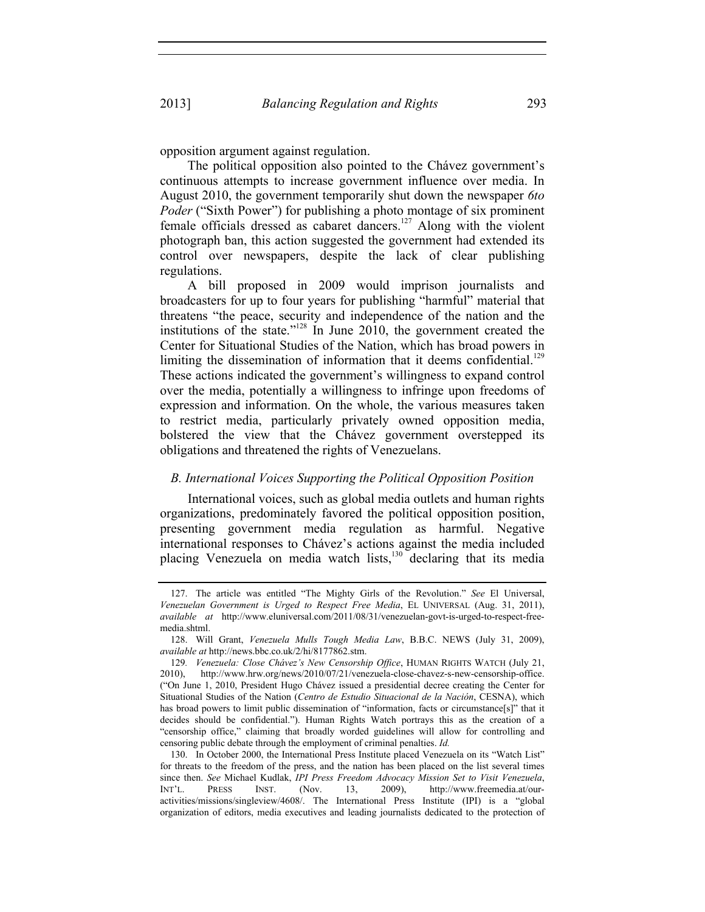opposition argument against regulation.

The political opposition also pointed to the Chávez government's continuous attempts to increase government influence over media. In August 2010, the government temporarily shut down the newspaper *6to Poder* ("Sixth Power") for publishing a photo montage of six prominent female officials dressed as cabaret dancers.<sup>127</sup> Along with the violent photograph ban, this action suggested the government had extended its control over newspapers, despite the lack of clear publishing regulations.

A bill proposed in 2009 would imprison journalists and broadcasters for up to four years for publishing "harmful" material that threatens "the peace, security and independence of the nation and the institutions of the state."<sup>128</sup> In June 2010, the government created the Center for Situational Studies of the Nation, which has broad powers in limiting the dissemination of information that it deems confidential.<sup>129</sup> These actions indicated the government's willingness to expand control over the media, potentially a willingness to infringe upon freedoms of expression and information. On the whole, the various measures taken to restrict media, particularly privately owned opposition media, bolstered the view that the Chávez government overstepped its obligations and threatened the rights of Venezuelans.

## *B. International Voices Supporting the Political Opposition Position*

International voices, such as global media outlets and human rights organizations, predominately favored the political opposition position, presenting government media regulation as harmful. Negative international responses to Chávez's actions against the media included placing Venezuela on media watch lists,<sup>130</sup> declaring that its media

 <sup>127.</sup> The article was entitled "The Mighty Girls of the Revolution." *See* El Universal, *Venezuelan Government is Urged to Respect Free Media*, EL UNIVERSAL (Aug. 31, 2011), *available at* http://www.eluniversal.com/2011/08/31/venezuelan-govt-is-urged-to-respect-freemedia.shtml.

 <sup>128.</sup> Will Grant, *Venezuela Mulls Tough Media Law*, B.B.C. NEWS (July 31, 2009), *available at* http://news.bbc.co.uk/2/hi/8177862.stm.

<sup>129</sup>*. Venezuela: Close Chávez's New Censorship Office*, HUMAN RIGHTS WATCH (July 21, 2010), http://www.hrw.org/news/2010/07/21/venezuela-close-chavez-s-new-censorship-office. ("On June 1, 2010, President Hugo Chávez issued a presidential decree creating the Center for Situational Studies of the Nation (*Centro de Estudio Situacional de la Nación*, CESNA), which has broad powers to limit public dissemination of "information, facts or circumstance[s]" that it decides should be confidential."). Human Rights Watch portrays this as the creation of a "censorship office," claiming that broadly worded guidelines will allow for controlling and censoring public debate through the employment of criminal penalties. *Id.* 

 <sup>130.</sup> In October 2000, the International Press Institute placed Venezuela on its "Watch List" for threats to the freedom of the press, and the nation has been placed on the list several times since then. *See* Michael Kudlak, *IPI Press Freedom Advocacy Mission Set to Visit Venezuela*, INT'L. PRESS INST. (Nov. 13, 2009), http://www.freemedia.at/ouractivities/missions/singleview/4608/. The International Press Institute (IPI) is a "global organization of editors, media executives and leading journalists dedicated to the protection of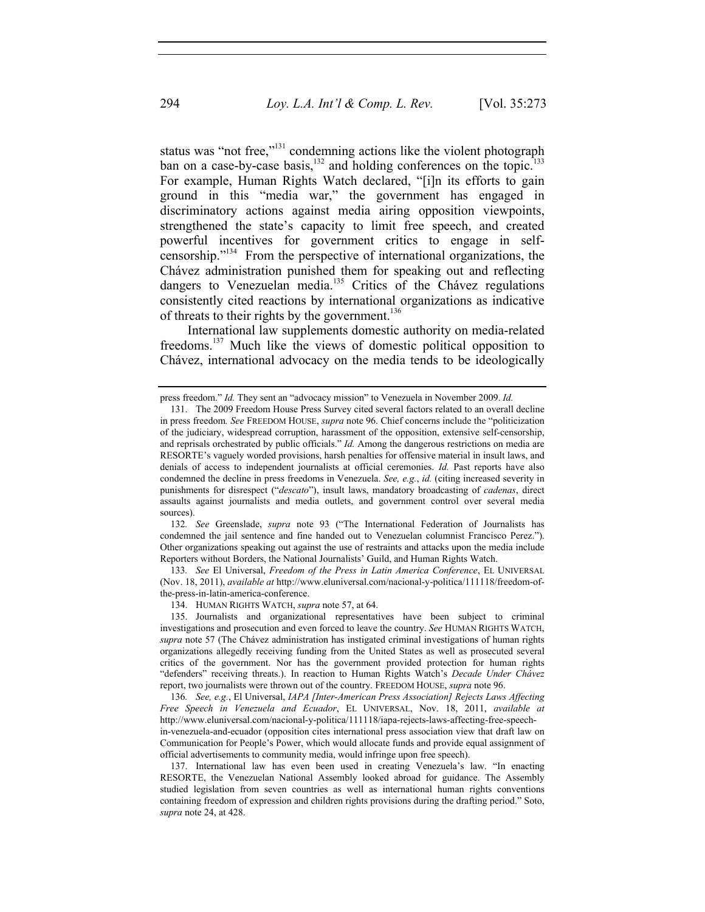status was "not free,"<sup>131</sup> condemning actions like the violent photograph ban on a case-by-case basis, $132$  and holding conferences on the topic. $133$ For example, Human Rights Watch declared, "[i]n its efforts to gain ground in this "media war," the government has engaged in discriminatory actions against media airing opposition viewpoints, strengthened the state's capacity to limit free speech, and created powerful incentives for government critics to engage in selfcensorship."134 From the perspective of international organizations, the Chávez administration punished them for speaking out and reflecting dangers to Venezuelan media.<sup>135</sup> Critics of the Chávez regulations consistently cited reactions by international organizations as indicative of threats to their rights by the government.<sup>136</sup>

International law supplements domestic authority on media-related freedoms.137 Much like the views of domestic political opposition to Chávez, international advocacy on the media tends to be ideologically

132*. See* Greenslade, *supra* note 93 ("The International Federation of Journalists has condemned the jail sentence and fine handed out to Venezuelan columnist Francisco Perez."). Other organizations speaking out against the use of restraints and attacks upon the media include Reporters without Borders, the National Journalists' Guild, and Human Rights Watch.

133*. See* El Universal, *Freedom of the Press in Latin America Conference*, EL UNIVERSAL (Nov. 18, 2011), *available at* http://www.eluniversal.com/nacional-y-politica/111118/freedom-ofthe-press-in-latin-america-conference.

134. HUMAN RIGHTS WATCH, *supra* note 57, at 64.

136*. See, e.g.*, El Universal, *IAPA [Inter-American Press Association] Rejects Laws Affecting Free Speech in Venezuela and Ecuador*, EL UNIVERSAL, Nov. 18, 2011, *available at*  http://www.eluniversal.com/nacional-y-politica/111118/iapa-rejects-laws-affecting-free-speechin-venezuela-and-ecuador (opposition cites international press association view that draft law on

Communication for People's Power, which would allocate funds and provide equal assignment of official advertisements to community media, would infringe upon free speech).

 137. International law has even been used in creating Venezuela's law. "In enacting RESORTE, the Venezuelan National Assembly looked abroad for guidance. The Assembly studied legislation from seven countries as well as international human rights conventions containing freedom of expression and children rights provisions during the drafting period." Soto, *supra* note 24, at 428.

press freedom." *Id.* They sent an "advocacy mission" to Venezuela in November 2009. *Id.* 

 <sup>131.</sup> The 2009 Freedom House Press Survey cited several factors related to an overall decline in press freedom*. See* FREEDOM HOUSE, *supra* note 96. Chief concerns include the "politicization of the judiciary, widespread corruption, harassment of the opposition, extensive self-censorship, and reprisals orchestrated by public officials." *Id.* Among the dangerous restrictions on media are RESORTE's vaguely worded provisions, harsh penalties for offensive material in insult laws, and denials of access to independent journalists at official ceremonies. *Id.* Past reports have also condemned the decline in press freedoms in Venezuela. *See, e.g.*, *id.* (citing increased severity in punishments for disrespect ("*descato*"), insult laws, mandatory broadcasting of *cadenas*, direct assaults against journalists and media outlets, and government control over several media sources).

 <sup>135.</sup> Journalists and organizational representatives have been subject to criminal investigations and prosecution and even forced to leave the country. *See* HUMAN RIGHTS WATCH, *supra* note 57 (The Chávez administration has instigated criminal investigations of human rights organizations allegedly receiving funding from the United States as well as prosecuted several critics of the government. Nor has the government provided protection for human rights "defenders" receiving threats.). In reaction to Human Rights Watch's *Decade Under Chávez* report, two journalists were thrown out of the country. FREEDOM HOUSE, *supra* note 96.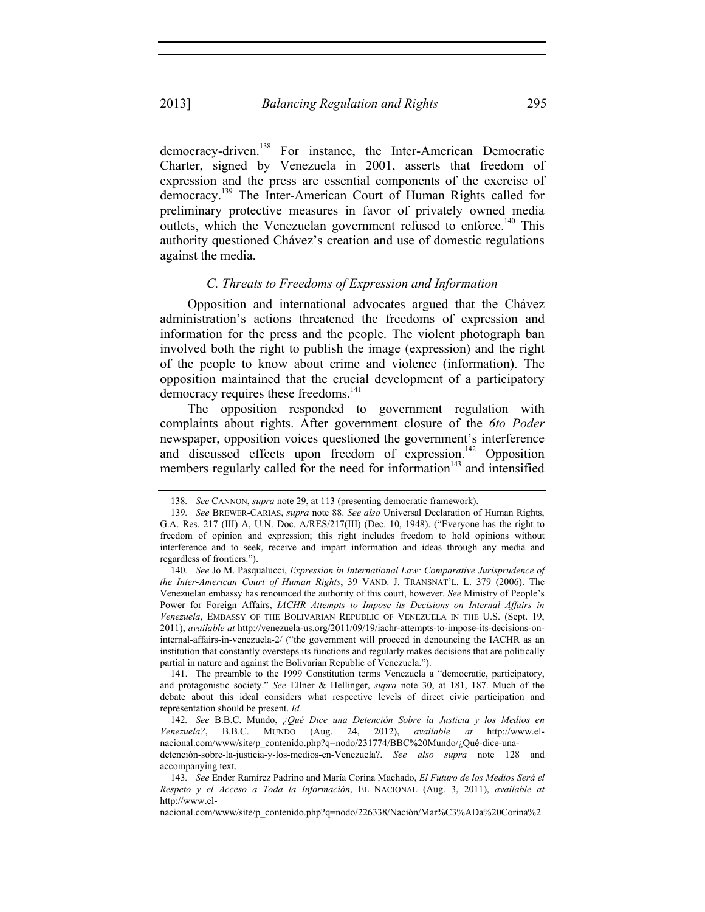democracy-driven.<sup>138</sup> For instance, the Inter-American Democratic Charter, signed by Venezuela in 2001, asserts that freedom of expression and the press are essential components of the exercise of democracy.139 The Inter-American Court of Human Rights called for preliminary protective measures in favor of privately owned media outlets, which the Venezuelan government refused to enforce.<sup>140</sup> This authority questioned Chávez's creation and use of domestic regulations against the media.

## *C. Threats to Freedoms of Expression and Information*

Opposition and international advocates argued that the Chávez administration's actions threatened the freedoms of expression and information for the press and the people. The violent photograph ban involved both the right to publish the image (expression) and the right of the people to know about crime and violence (information). The opposition maintained that the crucial development of a participatory democracy requires these freedoms.<sup>141</sup>

The opposition responded to government regulation with complaints about rights. After government closure of the *6to Poder* newspaper, opposition voices questioned the government's interference and discussed effects upon freedom of expression.<sup>142</sup> Opposition members regularly called for the need for information $143$  and intensified

 141. The preamble to the 1999 Constitution terms Venezuela a "democratic, participatory, and protagonistic society." *See* Ellner & Hellinger, *supra* note 30, at 181, 187. Much of the debate about this ideal considers what respective levels of direct civic participation and representation should be present. *Id.* 

nacional.com/www/site/p\_contenido.php?q=nodo/226338/Nación/Mar%C3%ADa%20Corina%2

<sup>138</sup>*. See* CANNON, *supra* note 29, at 113 (presenting democratic framework).

<sup>139</sup>*. See* BREWER-CARIAS, *supra* note 88. *See also* Universal Declaration of Human Rights, G.A. Res. 217 (III) A, U.N. Doc. A/RES/217(III) (Dec. 10, 1948). ("Everyone has the right to freedom of opinion and expression; this right includes freedom to hold opinions without interference and to seek, receive and impart information and ideas through any media and regardless of frontiers.").

<sup>140</sup>*. See* Jo M. Pasqualucci, *Expression in International Law: Comparative Jurisprudence of the Inter-American Court of Human Rights*, 39 VAND. J. TRANSNAT'L. L. 379 (2006). The Venezuelan embassy has renounced the authority of this court, however*. See* Ministry of People's Power for Foreign Affairs, *IACHR Attempts to Impose its Decisions on Internal Affairs in Venezuela*, EMBASSY OF THE BOLIVARIAN REPUBLIC OF VENEZUELA IN THE U.S. (Sept. 19, 2011), *available at* http://venezuela-us.org/2011/09/19/iachr-attempts-to-impose-its-decisions-oninternal-affairs-in-venezuela-2/ ("the government will proceed in denouncing the IACHR as an institution that constantly oversteps its functions and regularly makes decisions that are politically partial in nature and against the Bolivarian Republic of Venezuela.").

<sup>142</sup>*. See* B.B.C. Mundo, *¿Qué Dice una Detención Sobre la Justicia y los Medios en Venezuela?*, B.B.C. MUNDO (Aug. 24, 2012), *available at* http://www.elnacional.com/www/site/p\_contenido.php?q=nodo/231774/BBC%20Mundo/¿Qué-dice-una-

detención-sobre-la-justicia-y-los-medios-en-Venezuela?. *See also supra* note 128 and accompanying text.

<sup>143</sup>*. See* Ender Ramírez Padrino and María Corina Machado, *El Futuro de los Medios Será el Respeto y el Acceso a Toda la Información*, EL NACIONAL (Aug. 3, 2011), *available at* http://www.el-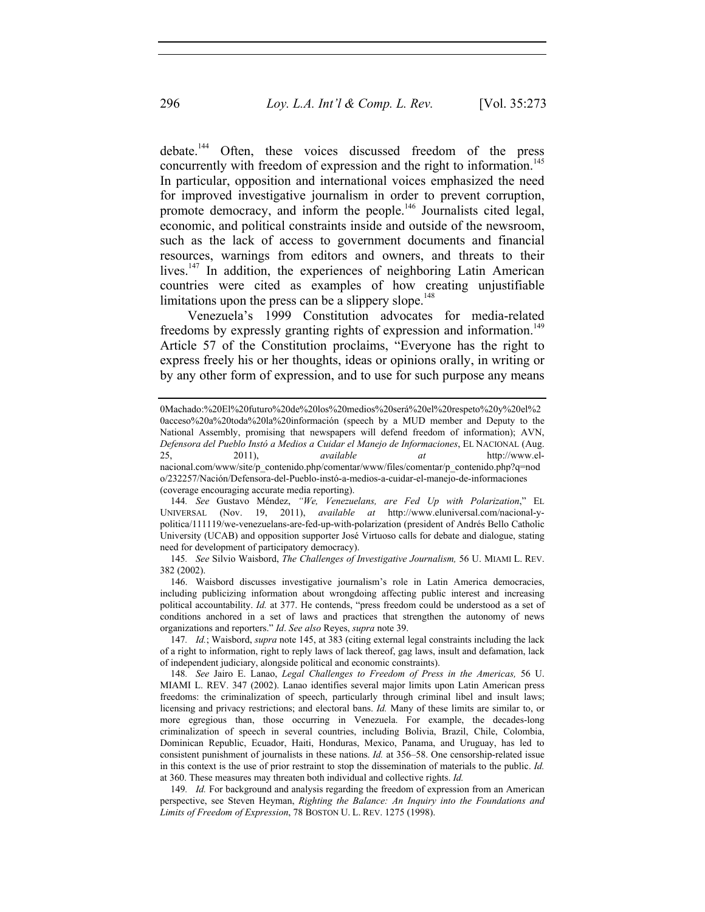debate.<sup>144</sup> Often, these voices discussed freedom of the press concurrently with freedom of expression and the right to information.<sup>145</sup> In particular, opposition and international voices emphasized the need for improved investigative journalism in order to prevent corruption, promote democracy, and inform the people.<sup>146</sup> Journalists cited legal, economic, and political constraints inside and outside of the newsroom, such as the lack of access to government documents and financial resources, warnings from editors and owners, and threats to their lives.<sup>147</sup> In addition, the experiences of neighboring Latin American countries were cited as examples of how creating unjustifiable limitations upon the press can be a slippery slope.<sup>148</sup>

Venezuela's 1999 Constitution advocates for media-related freedoms by expressly granting rights of expression and information.<sup>149</sup> Article 57 of the Constitution proclaims, "Everyone has the right to express freely his or her thoughts, ideas or opinions orally, in writing or by any other form of expression, and to use for such purpose any means

 146. Waisbord discusses investigative journalism's role in Latin America democracies, including publicizing information about wrongdoing affecting public interest and increasing political accountability. *Id.* at 377. He contends, "press freedom could be understood as a set of conditions anchored in a set of laws and practices that strengthen the autonomy of news organizations and reporters." *Id*. *See also* Reyes, *supra* note 39.

<sup>0</sup>Machado:%20El%20futuro%20de%20los%20medios%20será%20el%20respeto%20y%20el%2 0acceso%20a%20toda%20la%20información (speech by a MUD member and Deputy to the National Assembly, promising that newspapers will defend freedom of information); AVN, *Defensora del Pueblo Instó a Medios a Cuidar el Manejo de Informaciones*, EL NACIONAL (Aug. 25, 2011), *available at* http://www.elnacional.com/www/site/p\_contenido.php/comentar/www/files/comentar/p\_contenido.php?q=nod o/232257/Nación/Defensora-del-Pueblo-instó-a-medios-a-cuidar-el-manejo-de-informaciones (coverage encouraging accurate media reporting).

<sup>144</sup>*. See* Gustavo Méndez, *"We, Venezuelans, are Fed Up with Polarization*," EL UNIVERSAL (Nov. 19, 2011), *available at* http://www.eluniversal.com/nacional-ypolitica/111119/we-venezuelans-are-fed-up-with-polarization (president of Andrés Bello Catholic University (UCAB) and opposition supporter José Virtuoso calls for debate and dialogue, stating need for development of participatory democracy).

<sup>145</sup>*. See* Silvio Waisbord, *The Challenges of Investigative Journalism,* 56 U. MIAMI L. REV. 382 (2002).

<sup>147</sup>*. Id.*; Waisbord, *supra* note 145, at 383 (citing external legal constraints including the lack of a right to information, right to reply laws of lack thereof, gag laws, insult and defamation, lack of independent judiciary, alongside political and economic constraints).

<sup>148</sup>*. See* Jairo E. Lanao, *Legal Challenges to Freedom of Press in the Americas,* 56 U. MIAMI L. REV. 347 (2002). Lanao identifies several major limits upon Latin American press freedoms: the criminalization of speech, particularly through criminal libel and insult laws; licensing and privacy restrictions; and electoral bans. *Id.* Many of these limits are similar to, or more egregious than, those occurring in Venezuela. For example, the decades-long criminalization of speech in several countries, including Bolivia, Brazil, Chile, Colombia, Dominican Republic, Ecuador, Haiti, Honduras, Mexico, Panama, and Uruguay, has led to consistent punishment of journalists in these nations. *Id.* at 356–58. One censorship-related issue in this context is the use of prior restraint to stop the dissemination of materials to the public. *Id.*  at 360. These measures may threaten both individual and collective rights. *Id.* 

<sup>149</sup>*. Id.* For background and analysis regarding the freedom of expression from an American perspective, see Steven Heyman, *Righting the Balance: An Inquiry into the Foundations and Limits of Freedom of Expression*, 78 BOSTON U. L. REV. 1275 (1998).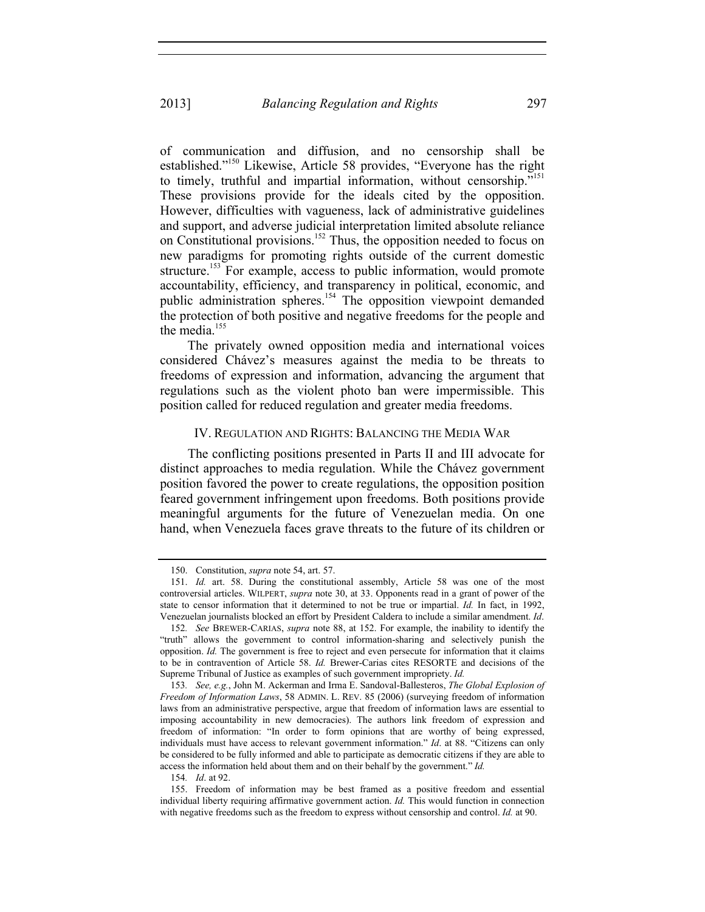of communication and diffusion, and no censorship shall be established."150 Likewise, Article 58 provides, "Everyone has the right to timely, truthful and impartial information, without censorship."<sup>151</sup> These provisions provide for the ideals cited by the opposition. However, difficulties with vagueness, lack of administrative guidelines and support, and adverse judicial interpretation limited absolute reliance on Constitutional provisions.<sup>152</sup> Thus, the opposition needed to focus on new paradigms for promoting rights outside of the current domestic structure.<sup>153</sup> For example, access to public information, would promote accountability, efficiency, and transparency in political, economic, and public administration spheres.<sup>154</sup> The opposition viewpoint demanded the protection of both positive and negative freedoms for the people and the media.<sup>155</sup>

The privately owned opposition media and international voices considered Chávez's measures against the media to be threats to freedoms of expression and information, advancing the argument that regulations such as the violent photo ban were impermissible. This position called for reduced regulation and greater media freedoms.

## IV. REGULATION AND RIGHTS: BALANCING THE MEDIA WAR

The conflicting positions presented in Parts II and III advocate for distinct approaches to media regulation. While the Chávez government position favored the power to create regulations, the opposition position feared government infringement upon freedoms. Both positions provide meaningful arguments for the future of Venezuelan media. On one hand, when Venezuela faces grave threats to the future of its children or

 <sup>150.</sup> Constitution, *supra* note 54, art. 57.

 <sup>151.</sup> *Id.* art. 58. During the constitutional assembly, Article 58 was one of the most controversial articles. WILPERT, *supra* note 30, at 33. Opponents read in a grant of power of the state to censor information that it determined to not be true or impartial. *Id.* In fact, in 1992, Venezuelan journalists blocked an effort by President Caldera to include a similar amendment. *Id*.

<sup>152</sup>*. See* BREWER-CARIAS, *supra* note 88, at 152. For example, the inability to identify the "truth" allows the government to control information-sharing and selectively punish the opposition. *Id.* The government is free to reject and even persecute for information that it claims to be in contravention of Article 58. *Id.* Brewer-Carias cites RESORTE and decisions of the Supreme Tribunal of Justice as examples of such government impropriety. *Id.* 

<sup>153</sup>*. See, e.g.*, John M. Ackerman and Irma E. Sandoval-Ballesteros, *The Global Explosion of Freedom of Information Laws*, 58 ADMIN. L. REV. 85 (2006) (surveying freedom of information laws from an administrative perspective, argue that freedom of information laws are essential to imposing accountability in new democracies). The authors link freedom of expression and freedom of information: "In order to form opinions that are worthy of being expressed, individuals must have access to relevant government information." *Id*. at 88. "Citizens can only be considered to be fully informed and able to participate as democratic citizens if they are able to access the information held about them and on their behalf by the government." *Id.*

<sup>154</sup>*. Id*. at 92.

 <sup>155.</sup> Freedom of information may be best framed as a positive freedom and essential individual liberty requiring affirmative government action. *Id.* This would function in connection with negative freedoms such as the freedom to express without censorship and control. *Id.* at 90.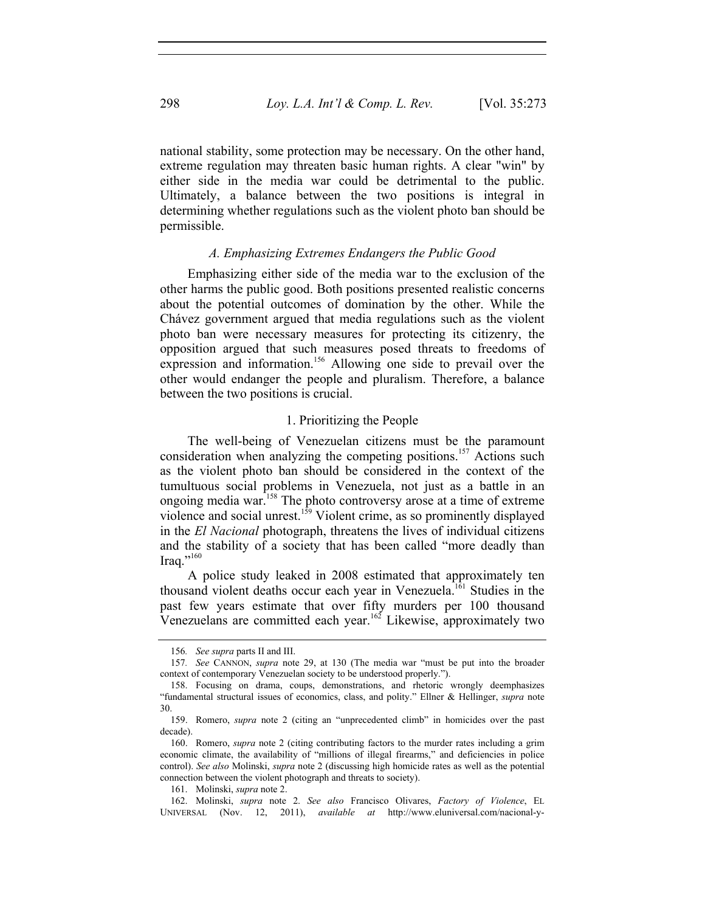national stability, some protection may be necessary. On the other hand, extreme regulation may threaten basic human rights. A clear "win" by either side in the media war could be detrimental to the public. Ultimately, a balance between the two positions is integral in determining whether regulations such as the violent photo ban should be permissible.

### *A. Emphasizing Extremes Endangers the Public Good*

Emphasizing either side of the media war to the exclusion of the other harms the public good. Both positions presented realistic concerns about the potential outcomes of domination by the other. While the Chávez government argued that media regulations such as the violent photo ban were necessary measures for protecting its citizenry, the opposition argued that such measures posed threats to freedoms of expression and information.<sup>156</sup> Allowing one side to prevail over the other would endanger the people and pluralism. Therefore, a balance between the two positions is crucial.

#### 1. Prioritizing the People

The well-being of Venezuelan citizens must be the paramount consideration when analyzing the competing positions.<sup>157</sup> Actions such as the violent photo ban should be considered in the context of the tumultuous social problems in Venezuela, not just as a battle in an ongoing media war.<sup>158</sup> The photo controversy arose at a time of extreme violence and social unrest.<sup>159</sup> Violent crime, as so prominently displayed in the *El Nacional* photograph, threatens the lives of individual citizens and the stability of a society that has been called "more deadly than Iraq."160

A police study leaked in 2008 estimated that approximately ten thousand violent deaths occur each year in Venezuela.<sup>161</sup> Studies in the past few years estimate that over fifty murders per 100 thousand Venezuelans are committed each year.<sup>162</sup> Likewise, approximately two

<sup>156</sup>*. See supra* parts II and III.

<sup>157</sup>*. See* CANNON, *supra* note 29, at 130 (The media war "must be put into the broader context of contemporary Venezuelan society to be understood properly.").

 <sup>158.</sup> Focusing on drama, coups, demonstrations, and rhetoric wrongly deemphasizes "fundamental structural issues of economics, class, and polity." Ellner & Hellinger, *supra* note 30.

 <sup>159.</sup> Romero, *supra* note 2 (citing an "unprecedented climb" in homicides over the past decade).

 <sup>160.</sup> Romero, *supra* note 2 (citing contributing factors to the murder rates including a grim economic climate, the availability of "millions of illegal firearms," and deficiencies in police control). *See also* Molinski, *supra* note 2 (discussing high homicide rates as well as the potential connection between the violent photograph and threats to society).

 <sup>161.</sup> Molinski, *supra* note 2.

 <sup>162.</sup> Molinski, *supra* note 2. *See also* Francisco Olivares, *Factory of Violence*, EL UNIVERSAL (Nov. 12, 2011), *available at* http://www.eluniversal.com/nacional-y-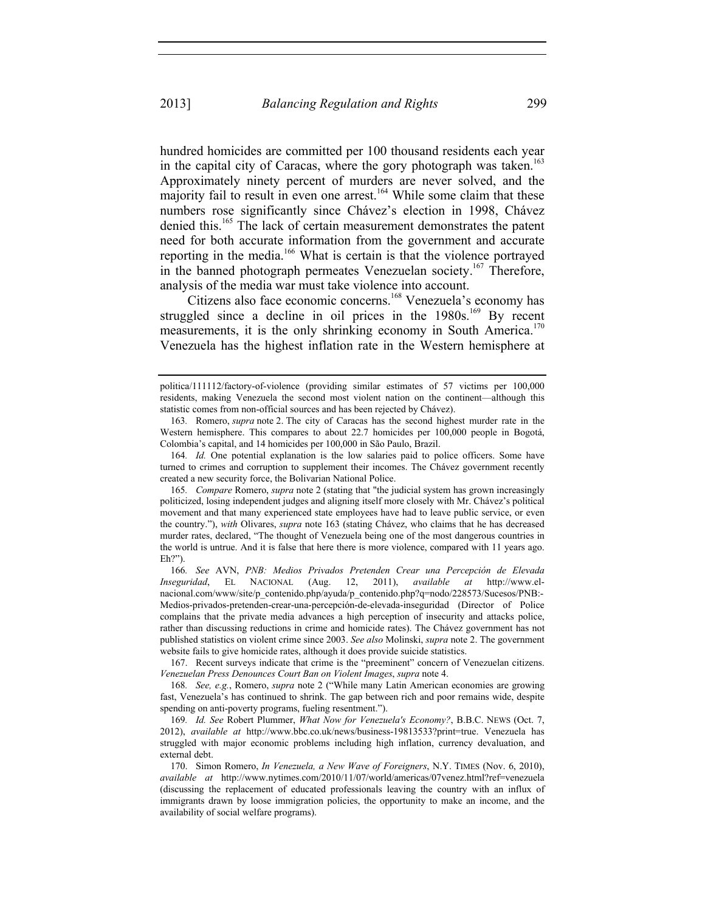hundred homicides are committed per 100 thousand residents each year in the capital city of Caracas, where the gory photograph was taken.<sup>163</sup> Approximately ninety percent of murders are never solved, and the majority fail to result in even one arrest.<sup>164</sup> While some claim that these numbers rose significantly since Chávez's election in 1998, Chávez denied this.<sup>165</sup> The lack of certain measurement demonstrates the patent need for both accurate information from the government and accurate reporting in the media.<sup>166</sup> What is certain is that the violence portrayed in the banned photograph permeates Venezuelan society.<sup>167</sup> Therefore, analysis of the media war must take violence into account.

Citizens also face economic concerns.<sup>168</sup> Venezuela's economy has struggled since a decline in oil prices in the  $1980s$ .<sup>169</sup> By recent measurements, it is the only shrinking economy in South America.<sup>170</sup> Venezuela has the highest inflation rate in the Western hemisphere at

166*. See* AVN, *PNB: Medios Privados Pretenden Crear una Percepción de Elevada Inseguridad*, EL NACIONAL (Aug. 12, 2011), *available at* http://www.elnacional.com/www/site/p\_contenido.php/ayuda/p\_contenido.php?q=nodo/228573/Sucesos/PNB:-Medios-privados-pretenden-crear-una-percepción-de-elevada-inseguridad (Director of Police complains that the private media advances a high perception of insecurity and attacks police, rather than discussing reductions in crime and homicide rates). The Chávez government has not published statistics on violent crime since 2003. *See also* Molinski, *supra* note 2. The government website fails to give homicide rates, although it does provide suicide statistics.

 167. Recent surveys indicate that crime is the "preeminent" concern of Venezuelan citizens. *Venezuelan Press Denounces Court Ban on Violent Images*, *supra* note 4.

168*. See, e.g.*, Romero, *supra* note 2 ("While many Latin American economies are growing fast, Venezuela's has continued to shrink. The gap between rich and poor remains wide, despite spending on anti-poverty programs, fueling resentment.").

169*. Id. See* Robert Plummer, *What Now for Venezuela's Economy?*, B.B.C. NEWS (Oct. 7, 2012), *available at* http://www.bbc.co.uk/news/business-19813533?print=true. Venezuela has struggled with major economic problems including high inflation, currency devaluation, and external debt.

 170. Simon Romero, *In Venezuela, a New Wave of Foreigners*, N.Y. TIMES (Nov. 6, 2010), *available at* http://www.nytimes.com/2010/11/07/world/americas/07venez.html?ref=venezuela (discussing the replacement of educated professionals leaving the country with an influx of immigrants drawn by loose immigration policies, the opportunity to make an income, and the availability of social welfare programs).

politica/111112/factory-of-violence (providing similar estimates of 57 victims per 100,000 residents, making Venezuela the second most violent nation on the continent—although this statistic comes from non-official sources and has been rejected by Chávez).

<sup>163</sup>*.* Romero, *supra* note 2. The city of Caracas has the second highest murder rate in the Western hemisphere. This compares to about 22.7 homicides per 100,000 people in Bogotá, Colombia's capital, and 14 homicides per 100,000 in São Paulo, Brazil.

<sup>164</sup>*. Id.* One potential explanation is the low salaries paid to police officers. Some have turned to crimes and corruption to supplement their incomes. The Chávez government recently created a new security force, the Bolivarian National Police.

<sup>165</sup>*. Compare* Romero, *supra* note 2 (stating that "the judicial system has grown increasingly politicized, losing independent judges and aligning itself more closely with Mr. Chávez's political movement and that many experienced state employees have had to leave public service, or even the country."), *with* Olivares, *supra* note 163 (stating Chávez, who claims that he has decreased murder rates, declared, "The thought of Venezuela being one of the most dangerous countries in the world is untrue. And it is false that here there is more violence, compared with 11 years ago. Eh?").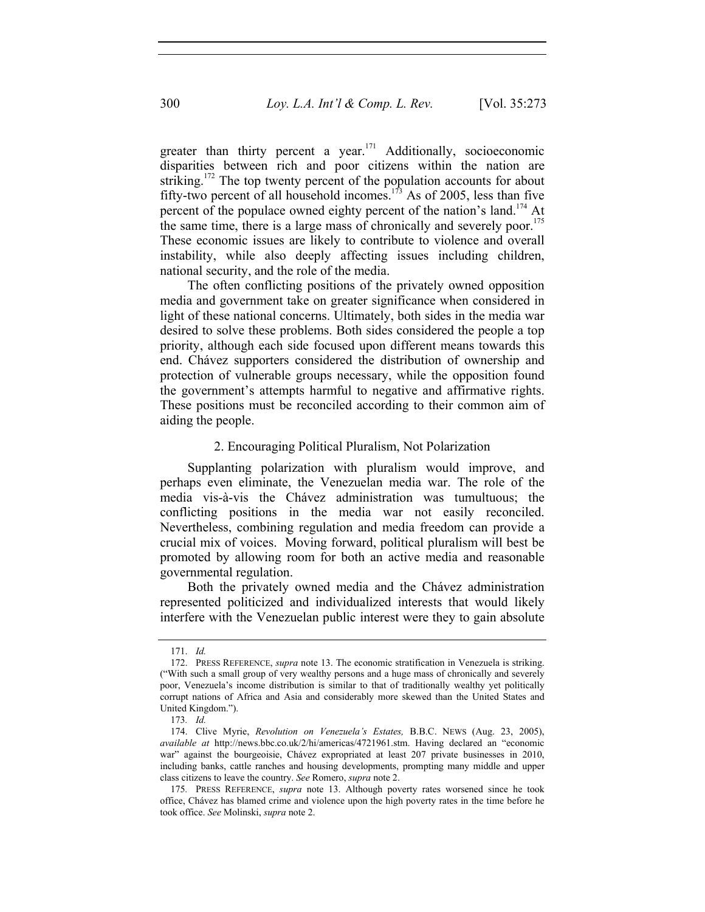greater than thirty percent a year.<sup>171</sup> Additionally, socioeconomic disparities between rich and poor citizens within the nation are striking.<sup>172</sup> The top twenty percent of the population accounts for about fifty-two percent of all household incomes.<sup>173</sup> As of 2005, less than five percent of the populace owned eighty percent of the nation's land.<sup>174</sup> At the same time, there is a large mass of chronically and severely poor.<sup>175</sup> These economic issues are likely to contribute to violence and overall instability, while also deeply affecting issues including children, national security, and the role of the media.

The often conflicting positions of the privately owned opposition media and government take on greater significance when considered in light of these national concerns. Ultimately, both sides in the media war desired to solve these problems. Both sides considered the people a top priority, although each side focused upon different means towards this end. Chávez supporters considered the distribution of ownership and protection of vulnerable groups necessary, while the opposition found the government's attempts harmful to negative and affirmative rights. These positions must be reconciled according to their common aim of aiding the people.

## 2. Encouraging Political Pluralism, Not Polarization

Supplanting polarization with pluralism would improve, and perhaps even eliminate, the Venezuelan media war. The role of the media vis-à-vis the Chávez administration was tumultuous; the conflicting positions in the media war not easily reconciled. Nevertheless, combining regulation and media freedom can provide a crucial mix of voices. Moving forward, political pluralism will best be promoted by allowing room for both an active media and reasonable governmental regulation.

Both the privately owned media and the Chávez administration represented politicized and individualized interests that would likely interfere with the Venezuelan public interest were they to gain absolute

 <sup>171.</sup> *Id.*

 <sup>172.</sup> PRESS REFERENCE, *supra* note 13. The economic stratification in Venezuela is striking. ("With such a small group of very wealthy persons and a huge mass of chronically and severely poor, Venezuela's income distribution is similar to that of traditionally wealthy yet politically corrupt nations of Africa and Asia and considerably more skewed than the United States and United Kingdom.").

<sup>173</sup>*. Id.*

 <sup>174.</sup> Clive Myrie, *Revolution on Venezuela's Estates,* B.B.C. NEWS (Aug. 23, 2005), *available at* http://news.bbc.co.uk/2/hi/americas/4721961.stm. Having declared an "economic war" against the bourgeoisie, Chávez expropriated at least 207 private businesses in 2010, including banks, cattle ranches and housing developments, prompting many middle and upper class citizens to leave the country. *See* Romero, *supra* note 2.

<sup>175</sup>*.* PRESS REFERENCE, *supra* note 13. Although poverty rates worsened since he took office, Chávez has blamed crime and violence upon the high poverty rates in the time before he took office. *See* Molinski, *supra* note 2.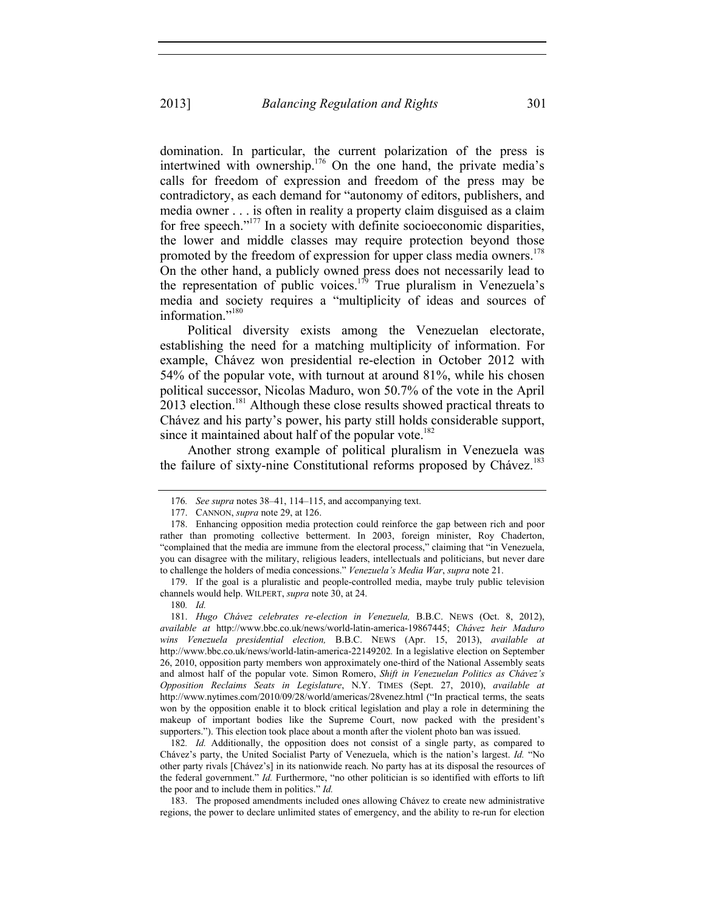domination. In particular, the current polarization of the press is intertwined with ownership.<sup>176</sup> On the one hand, the private media's calls for freedom of expression and freedom of the press may be contradictory, as each demand for "autonomy of editors, publishers, and media owner . . . is often in reality a property claim disguised as a claim for free speech."<sup>177</sup> In a society with definite socioeconomic disparities, the lower and middle classes may require protection beyond those promoted by the freedom of expression for upper class media owners.<sup>178</sup> On the other hand, a publicly owned press does not necessarily lead to the representation of public voices.<sup>179</sup> True pluralism in Venezuela's media and society requires a "multiplicity of ideas and sources of information $^{180}$ 

Political diversity exists among the Venezuelan electorate, establishing the need for a matching multiplicity of information. For example, Chávez won presidential re-election in October 2012 with 54% of the popular vote, with turnout at around 81%, while his chosen political successor, Nicolas Maduro, won 50.7% of the vote in the April  $2013$  election.<sup>181</sup> Although these close results showed practical threats to Chávez and his party's power, his party still holds considerable support, since it maintained about half of the popular vote.<sup>182</sup>

Another strong example of political pluralism in Venezuela was the failure of sixty-nine Constitutional reforms proposed by Chávez.<sup>183</sup>

180*. Id.*

182*. Id.* Additionally, the opposition does not consist of a single party, as compared to Chávez's party, the United Socialist Party of Venezuela, which is the nation's largest. *Id.* "No other party rivals [Chávez's] in its nationwide reach. No party has at its disposal the resources of the federal government." *Id.* Furthermore, "no other politician is so identified with efforts to lift the poor and to include them in politics." *Id.* 

 183. The proposed amendments included ones allowing Chávez to create new administrative regions, the power to declare unlimited states of emergency, and the ability to re-run for election

<sup>176</sup>*. See supra* notes 38–41, 114–115, and accompanying text.

 <sup>177.</sup> CANNON, *supra* note 29, at 126.

 <sup>178.</sup> Enhancing opposition media protection could reinforce the gap between rich and poor rather than promoting collective betterment. In 2003, foreign minister, Roy Chaderton, "complained that the media are immune from the electoral process," claiming that "in Venezuela, you can disagree with the military, religious leaders, intellectuals and politicians, but never dare to challenge the holders of media concessions." *Venezuela's Media War*, *supra* note 21.

 <sup>179.</sup> If the goal is a pluralistic and people-controlled media, maybe truly public television channels would help. WILPERT, *supra* note 30, at 24.

 <sup>181.</sup> *Hugo Chávez celebrates re-election in Venezuela,* B.B.C. NEWS (Oct. 8, 2012), *available at* http://www.bbc.co.uk/news/world-latin-america-19867445; *Chávez heir Maduro wins Venezuela presidential election,* B.B.C. NEWS (Apr. 15, 2013), *available at*  http://www.bbc.co.uk/news/world-latin-america-22149202*.* In a legislative election on September 26, 2010, opposition party members won approximately one-third of the National Assembly seats and almost half of the popular vote. Simon Romero, *Shift in Venezuelan Politics as Chávez's Opposition Reclaims Seats in Legislature*, N.Y. TIMES (Sept. 27, 2010), *available at* http://www.nytimes.com/2010/09/28/world/americas/28venez.html ("In practical terms, the seats won by the opposition enable it to block critical legislation and play a role in determining the makeup of important bodies like the Supreme Court, now packed with the president's supporters."). This election took place about a month after the violent photo ban was issued.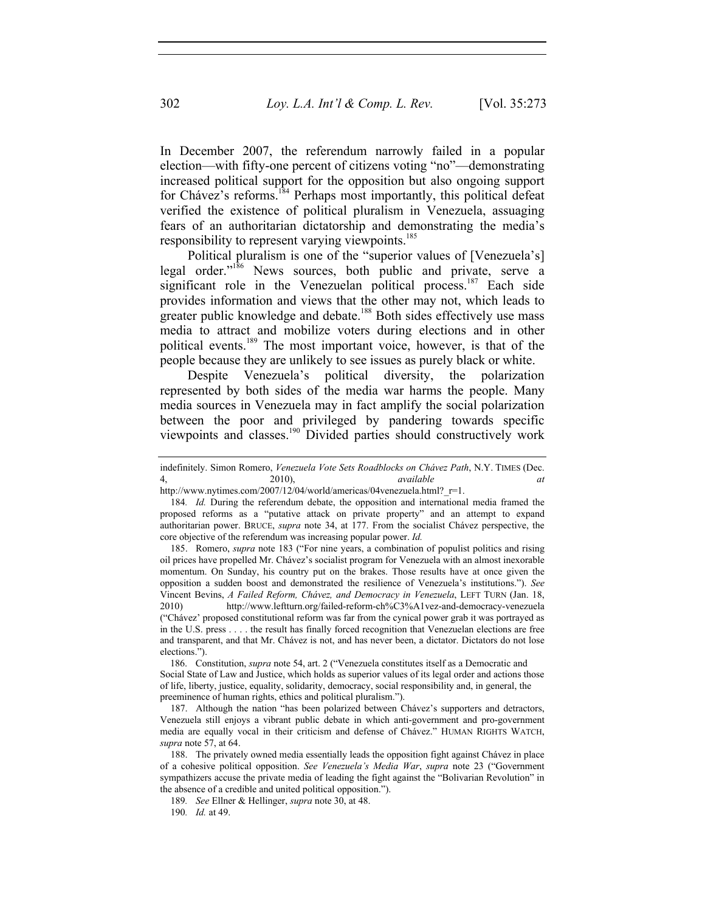In December 2007, the referendum narrowly failed in a popular election—with fifty-one percent of citizens voting "no"—demonstrating increased political support for the opposition but also ongoing support for Chávez's reforms.<sup>184</sup> Perhaps most importantly, this political defeat verified the existence of political pluralism in Venezuela, assuaging fears of an authoritarian dictatorship and demonstrating the media's responsibility to represent varying viewpoints.<sup>185</sup>

Political pluralism is one of the "superior values of [Venezuela's] legal order."<sup>186</sup> News sources, both public and private, serve a significant role in the Venezuelan political process.<sup>187</sup> Each side provides information and views that the other may not, which leads to greater public knowledge and debate.<sup>188</sup> Both sides effectively use mass media to attract and mobilize voters during elections and in other political events.<sup>189</sup> The most important voice, however, is that of the people because they are unlikely to see issues as purely black or white.

Despite Venezuela's political diversity, the polarization represented by both sides of the media war harms the people. Many media sources in Venezuela may in fact amplify the social polarization between the poor and privileged by pandering towards specific viewpoints and classes.<sup>190</sup> Divided parties should constructively work

 185. Romero, *supra* note 183 ("For nine years, a combination of populist politics and rising oil prices have propelled Mr. Chávez's socialist program for Venezuela with an almost inexorable momentum. On Sunday, his country put on the brakes. Those results have at once given the opposition a sudden boost and demonstrated the resilience of Venezuela's institutions."). *See*  Vincent Bevins, *A Failed Reform, Chávez, and Democracy in Venezuela*, LEFT TURN (Jan. 18, 2010) http://www.leftturn.org/failed-reform-ch%C3%A1vez-and-democracy-venezuela ("Chávez' proposed constitutional reform was far from the cynical power grab it was portrayed as in the U.S. press . . . . the result has finally forced recognition that Venezuelan elections are free and transparent, and that Mr. Chávez is not, and has never been, a dictator. Dictators do not lose elections.").

 186. Constitution, *supra* note 54, art. 2 ("Venezuela constitutes itself as a Democratic and Social State of Law and Justice, which holds as superior values of its legal order and actions those of life, liberty, justice, equality, solidarity, democracy, social responsibility and, in general, the preeminence of human rights, ethics and political pluralism.").

 187. Although the nation "has been polarized between Chávez's supporters and detractors, Venezuela still enjoys a vibrant public debate in which anti-government and pro-government media are equally vocal in their criticism and defense of Chávez." HUMAN RIGHTS WATCH, *supra* note 57, at 64.

 188. The privately owned media essentially leads the opposition fight against Chávez in place of a cohesive political opposition. *See Venezuela's Media War*, *supra* note 23 ("Government sympathizers accuse the private media of leading the fight against the "Bolivarian Revolution" in the absence of a credible and united political opposition.").

189*. See* Ellner & Hellinger, *supra* note 30, at 48.

indefinitely. Simon Romero, *Venezuela Vote Sets Roadblocks on Chávez Path*, N.Y. TIMES (Dec. 4, 2010), *available at*

http://www.nytimes.com/2007/12/04/world/americas/04venezuela.html?\_r=1.

<sup>184</sup>*. Id.* During the referendum debate, the opposition and international media framed the proposed reforms as a "putative attack on private property" and an attempt to expand authoritarian power. BRUCE, *supra* note 34, at 177. From the socialist Chávez perspective, the core objective of the referendum was increasing popular power. *Id.* 

<sup>190</sup>*. Id.* at 49.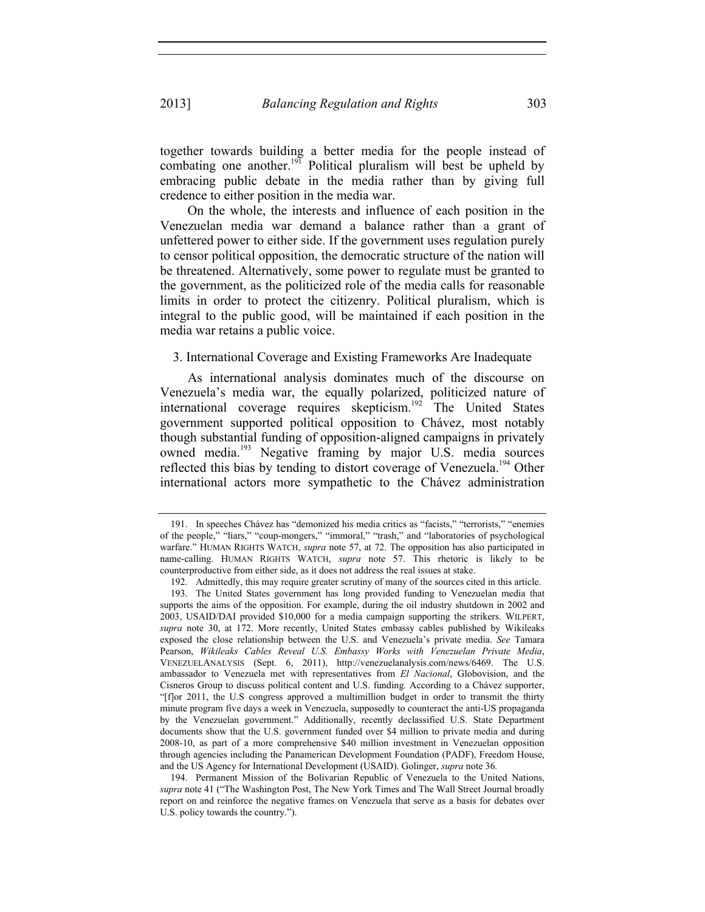together towards building a better media for the people instead of combating one another.<sup>191</sup> Political pluralism will best be upheld by embracing public debate in the media rather than by giving full credence to either position in the media war.

On the whole, the interests and influence of each position in the Venezuelan media war demand a balance rather than a grant of unfettered power to either side. If the government uses regulation purely to censor political opposition, the democratic structure of the nation will be threatened. Alternatively, some power to regulate must be granted to the government, as the politicized role of the media calls for reasonable limits in order to protect the citizenry. Political pluralism, which is integral to the public good, will be maintained if each position in the media war retains a public voice.

3. International Coverage and Existing Frameworks Are Inadequate

As international analysis dominates much of the discourse on Venezuela's media war, the equally polarized, politicized nature of international coverage requires skepticism.<sup>192</sup> The United States government supported political opposition to Chávez, most notably though substantial funding of opposition-aligned campaigns in privately owned media.193 Negative framing by major U.S. media sources reflected this bias by tending to distort coverage of Venezuela.<sup>194</sup> Other international actors more sympathetic to the Chávez administration

 <sup>191.</sup> In speeches Chávez has "demonized his media critics as "facists," "terrorists," "enemies of the people," "liars," "coup-mongers," "immoral," "trash," and "laboratories of psychological warfare." HUMAN RIGHTS WATCH, *supra* note 57, at 72. The opposition has also participated in name-calling. HUMAN RIGHTS WATCH, *supra* note 57. This rhetoric is likely to be counterproductive from either side, as it does not address the real issues at stake.

 <sup>192.</sup> Admittedly, this may require greater scrutiny of many of the sources cited in this article.

 <sup>193.</sup> The United States government has long provided funding to Venezuelan media that supports the aims of the opposition. For example, during the oil industry shutdown in 2002 and 2003, USAID/DAI provided \$10,000 for a media campaign supporting the strikers. WILPERT, *supra* note 30, at 172. More recently, United States embassy cables published by Wikileaks exposed the close relationship between the U.S. and Venezuela's private media. *See* Tamara Pearson, *Wikileaks Cables Reveal U.S. Embassy Works with Venezuelan Private Media*, VENEZUELANALYSIS (Sept. 6, 2011), http://venezuelanalysis.com/news/6469. The U.S. ambassador to Venezuela met with representatives from *El Nacional*, Globovision, and the Cisneros Group to discuss political content and U.S. funding*.* According to a Chávez supporter, "[f]or 2011, the U.S congress approved a multimillion budget in order to transmit the thirty minute program five days a week in Venezuela, supposedly to counteract the anti-US propaganda by the Venezuelan government." Additionally, recently declassified U.S. State Department documents show that the U.S. government funded over \$4 million to private media and during 2008-10, as part of a more comprehensive \$40 million investment in Venezuelan opposition through agencies including the Panamerican Development Foundation (PADF), Freedom House, and the US Agency for International Development (USAID). Golinger, *supra* note 36*.* 

 <sup>194.</sup> Permanent Mission of the Bolivarian Republic of Venezuela to the United Nations, *supra* note 41 ("The Washington Post, The New York Times and The Wall Street Journal broadly report on and reinforce the negative frames on Venezuela that serve as a basis for debates over U.S. policy towards the country.").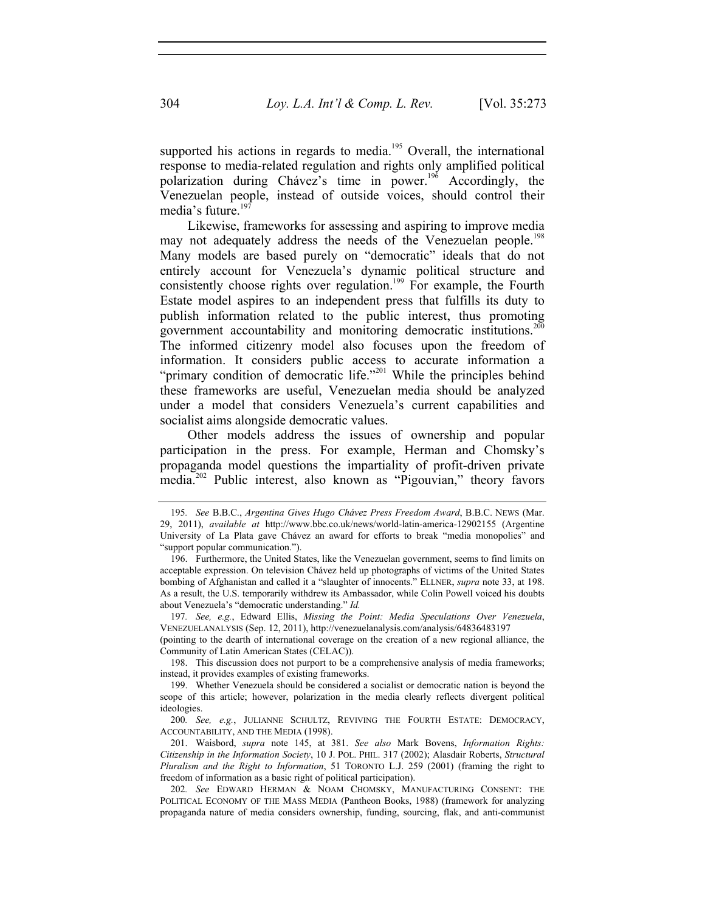supported his actions in regards to media.<sup>195</sup> Overall, the international response to media-related regulation and rights only amplified political polarization during Chávez's time in power.196 Accordingly, the Venezuelan people, instead of outside voices, should control their media's future.<sup>197</sup>

Likewise, frameworks for assessing and aspiring to improve media may not adequately address the needs of the Venezuelan people.<sup>198</sup> Many models are based purely on "democratic" ideals that do not entirely account for Venezuela's dynamic political structure and consistently choose rights over regulation.<sup>199</sup> For example, the Fourth Estate model aspires to an independent press that fulfills its duty to publish information related to the public interest, thus promoting government accountability and monitoring democratic institutions.<sup>200</sup> The informed citizenry model also focuses upon the freedom of information. It considers public access to accurate information a "primary condition of democratic life."<sup>201</sup> While the principles behind these frameworks are useful, Venezuelan media should be analyzed under a model that considers Venezuela's current capabilities and socialist aims alongside democratic values.

Other models address the issues of ownership and popular participation in the press. For example, Herman and Chomsky's propaganda model questions the impartiality of profit-driven private media.<sup>202</sup> Public interest, also known as "Pigouvian," theory favors

(pointing to the dearth of international coverage on the creation of a new regional alliance, the Community of Latin American States (CELAC)).

 198. This discussion does not purport to be a comprehensive analysis of media frameworks; instead, it provides examples of existing frameworks.

<sup>195</sup>*. See* B.B.C., *Argentina Gives Hugo Chávez Press Freedom Award*, B.B.C. NEWS (Mar. 29, 2011), *available at* http://www.bbc.co.uk/news/world-latin-america-12902155 (Argentine University of La Plata gave Chávez an award for efforts to break "media monopolies" and "support popular communication.").

 <sup>196.</sup> Furthermore, the United States, like the Venezuelan government, seems to find limits on acceptable expression. On television Chávez held up photographs of victims of the United States bombing of Afghanistan and called it a "slaughter of innocents." ELLNER, *supra* note 33, at 198. As a result, the U.S. temporarily withdrew its Ambassador, while Colin Powell voiced his doubts about Venezuela's "democratic understanding." *Id.* 

<sup>197</sup>*. See, e.g.*, Edward Ellis, *Missing the Point: Media Speculations Over Venezuela*, VENEZUELANALYSIS (Sep. 12, 2011), http://venezuelanalysis.com/analysis/64836483197

 <sup>199.</sup> Whether Venezuela should be considered a socialist or democratic nation is beyond the scope of this article; however, polarization in the media clearly reflects divergent political ideologies.

<sup>200</sup>*. See, e.g.*, JULIANNE SCHULTZ, REVIVING THE FOURTH ESTATE: DEMOCRACY, ACCOUNTABILITY, AND THE MEDIA (1998).

 <sup>201.</sup> Waisbord, *supra* note 145, at 381. *See also* Mark Bovens, *Information Rights: Citizenship in the Information Society*, 10 J. POL. PHIL. 317 (2002); Alasdair Roberts, *Structural Pluralism and the Right to Information*, 51 TORONTO L.J. 259 (2001) (framing the right to freedom of information as a basic right of political participation).

<sup>202</sup>*. See* EDWARD HERMAN & NOAM CHOMSKY, MANUFACTURING CONSENT: THE POLITICAL ECONOMY OF THE MASS MEDIA (Pantheon Books, 1988) (framework for analyzing propaganda nature of media considers ownership, funding, sourcing, flak, and anti-communist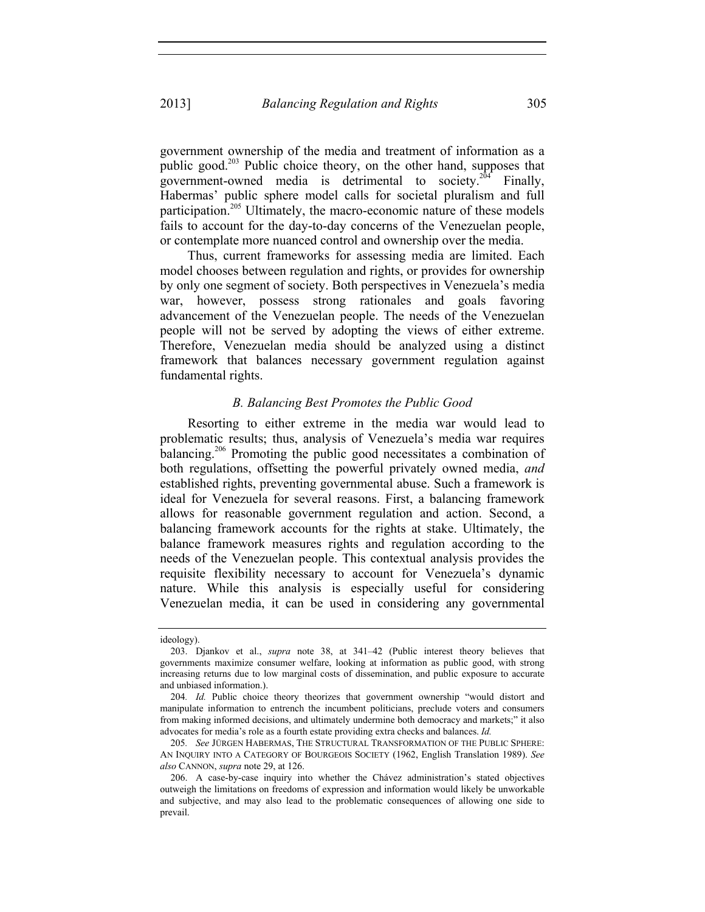government ownership of the media and treatment of information as a public good.<sup>203</sup> Public choice theory, on the other hand, supposes that government-owned media is detrimental to society.<sup>204</sup> Finally, Habermas' public sphere model calls for societal pluralism and full participation.<sup>205</sup> Ultimately, the macro-economic nature of these models fails to account for the day-to-day concerns of the Venezuelan people, or contemplate more nuanced control and ownership over the media.

Thus, current frameworks for assessing media are limited. Each model chooses between regulation and rights, or provides for ownership by only one segment of society. Both perspectives in Venezuela's media war, however, possess strong rationales and goals favoring advancement of the Venezuelan people. The needs of the Venezuelan people will not be served by adopting the views of either extreme. Therefore, Venezuelan media should be analyzed using a distinct framework that balances necessary government regulation against fundamental rights.

## *B. Balancing Best Promotes the Public Good*

Resorting to either extreme in the media war would lead to problematic results; thus, analysis of Venezuela's media war requires balancing.<sup>206</sup> Promoting the public good necessitates a combination of both regulations, offsetting the powerful privately owned media, *and* established rights, preventing governmental abuse. Such a framework is ideal for Venezuela for several reasons. First, a balancing framework allows for reasonable government regulation and action. Second, a balancing framework accounts for the rights at stake. Ultimately, the balance framework measures rights and regulation according to the needs of the Venezuelan people. This contextual analysis provides the requisite flexibility necessary to account for Venezuela's dynamic nature. While this analysis is especially useful for considering Venezuelan media, it can be used in considering any governmental

ideology).

 <sup>203.</sup> Djankov et al., *supra* note 38, at 341–42 (Public interest theory believes that governments maximize consumer welfare, looking at information as public good, with strong increasing returns due to low marginal costs of dissemination, and public exposure to accurate and unbiased information.).

<sup>204</sup>*. Id.* Public choice theory theorizes that government ownership "would distort and manipulate information to entrench the incumbent politicians, preclude voters and consumers from making informed decisions, and ultimately undermine both democracy and markets;" it also advocates for media's role as a fourth estate providing extra checks and balances. *Id.* 

<sup>205</sup>*. See* JÜRGEN HABERMAS, THE STRUCTURAL TRANSFORMATION OF THE PUBLIC SPHERE: AN INQUIRY INTO A CATEGORY OF BOURGEOIS SOCIETY (1962, English Translation 1989). *See also* CANNON, *supra* note 29, at 126.

 <sup>206.</sup> A case-by-case inquiry into whether the Chávez administration's stated objectives outweigh the limitations on freedoms of expression and information would likely be unworkable and subjective, and may also lead to the problematic consequences of allowing one side to prevail.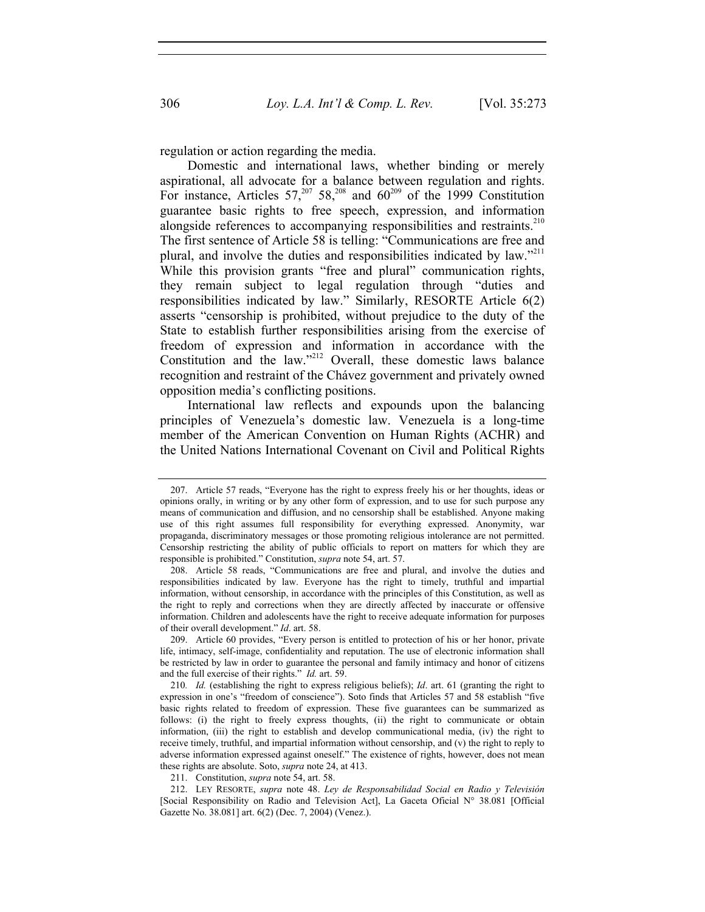regulation or action regarding the media.

Domestic and international laws, whether binding or merely aspirational, all advocate for a balance between regulation and rights. For instance, Articles  $57,^{207}$   $58,^{208}$  and  $60^{209}$  of the 1999 Constitution guarantee basic rights to free speech, expression, and information alongside references to accompanying responsibilities and restraints.<sup>210</sup> The first sentence of Article 58 is telling: "Communications are free and plural, and involve the duties and responsibilities indicated by law." While this provision grants "free and plural" communication rights, they remain subject to legal regulation through "duties and responsibilities indicated by law." Similarly, RESORTE Article 6(2) asserts "censorship is prohibited, without prejudice to the duty of the State to establish further responsibilities arising from the exercise of freedom of expression and information in accordance with the Constitution and the law." $2^{12}$  Overall, these domestic laws balance recognition and restraint of the Chávez government and privately owned opposition media's conflicting positions.

International law reflects and expounds upon the balancing principles of Venezuela's domestic law. Venezuela is a long-time member of the American Convention on Human Rights (ACHR) and the United Nations International Covenant on Civil and Political Rights

 <sup>207.</sup> Article 57 reads, "Everyone has the right to express freely his or her thoughts, ideas or opinions orally, in writing or by any other form of expression, and to use for such purpose any means of communication and diffusion, and no censorship shall be established. Anyone making use of this right assumes full responsibility for everything expressed. Anonymity, war propaganda, discriminatory messages or those promoting religious intolerance are not permitted. Censorship restricting the ability of public officials to report on matters for which they are responsible is prohibited." Constitution, *supra* note 54, art. 57.

 <sup>208.</sup> Article 58 reads, "Communications are free and plural, and involve the duties and responsibilities indicated by law. Everyone has the right to timely, truthful and impartial information, without censorship, in accordance with the principles of this Constitution, as well as the right to reply and corrections when they are directly affected by inaccurate or offensive information. Children and adolescents have the right to receive adequate information for purposes of their overall development." *Id*. art. 58.

 <sup>209.</sup> Article 60 provides, "Every person is entitled to protection of his or her honor, private life, intimacy, self-image, confidentiality and reputation. The use of electronic information shall be restricted by law in order to guarantee the personal and family intimacy and honor of citizens and the full exercise of their rights." *Id.* art. 59.

<sup>210</sup>*. Id.* (establishing the right to express religious beliefs); *Id*. art. 61 (granting the right to expression in one's "freedom of conscience"). Soto finds that Articles 57 and 58 establish "five basic rights related to freedom of expression. These five guarantees can be summarized as follows: (i) the right to freely express thoughts, (ii) the right to communicate or obtain information, (iii) the right to establish and develop communicational media, (iv) the right to receive timely, truthful, and impartial information without censorship, and (v) the right to reply to adverse information expressed against oneself." The existence of rights, however, does not mean these rights are absolute. Soto, *supra* note 24, at 413.

 <sup>211.</sup> Constitution, *supra* note 54, art. 58.

 <sup>212.</sup> LEY RESORTE, *supra* note 48. *Ley de Responsabilidad Social en Radio y Televisión* [Social Responsibility on Radio and Television Act], La Gaceta Oficial N° 38.081 [Official Gazette No. 38.081] art. 6(2) (Dec. 7, 2004) (Venez.).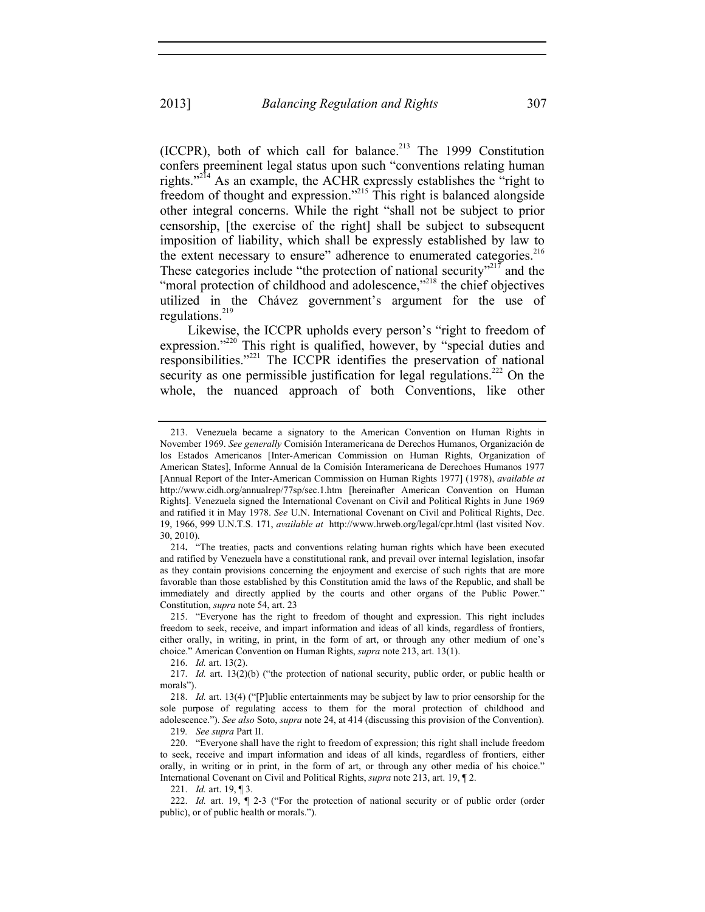(ICCPR), both of which call for balance.<sup>213</sup> The 1999 Constitution confers preeminent legal status upon such "conventions relating human rights."214 As an example, the ACHR expressly establishes the "right to freedom of thought and expression."215 This right is balanced alongside other integral concerns. While the right "shall not be subject to prior censorship, [the exercise of the right] shall be subject to subsequent imposition of liability, which shall be expressly established by law to the extent necessary to ensure" adherence to enumerated categories.<sup>216</sup> These categories include "the protection of national security"<sup>217</sup> and the "moral protection of childhood and adolescence,"<sup>218</sup> the chief objectives utilized in the Chávez government's argument for the use of regulations. $^{219}$ 

Likewise, the ICCPR upholds every person's "right to freedom of expression."<sup>220</sup> This right is qualified, however, by "special duties and responsibilities."221 The ICCPR identifies the preservation of national security as one permissible justification for legal regulations.<sup>222</sup> On the whole, the nuanced approach of both Conventions, like other

219*. See supra* Part II.

 <sup>213.</sup> Venezuela became a signatory to the American Convention on Human Rights in November 1969. *See generally* Comisión Interamericana de Derechos Humanos, Organización de los Estados Americanos [Inter-American Commission on Human Rights, Organization of American States], Informe Annual de la Comisión Interamericana de Derechoes Humanos 1977 [Annual Report of the Inter-American Commission on Human Rights 1977] (1978), *available at* http://www.cidh.org/annualrep/77sp/sec.1.htm [hereinafter American Convention on Human Rights]. Venezuela signed the International Covenant on Civil and Political Rights in June 1969 and ratified it in May 1978. *See* U.N. International Covenant on Civil and Political Rights, Dec. 19, 1966, 999 U.N.T.S. 171, *available at* http://www.hrweb.org/legal/cpr.html (last visited Nov. 30, 2010).

<sup>214</sup>**.** "The treaties, pacts and conventions relating human rights which have been executed and ratified by Venezuela have a constitutional rank, and prevail over internal legislation, insofar as they contain provisions concerning the enjoyment and exercise of such rights that are more favorable than those established by this Constitution amid the laws of the Republic, and shall be immediately and directly applied by the courts and other organs of the Public Power." Constitution, *supra* note 54, art. 23

 <sup>215. &</sup>quot;Everyone has the right to freedom of thought and expression. This right includes freedom to seek, receive, and impart information and ideas of all kinds, regardless of frontiers, either orally, in writing, in print, in the form of art, or through any other medium of one's choice." American Convention on Human Rights, *supra* note 213, art. 13(1).

 <sup>216.</sup> *Id.* art. 13(2).

 <sup>217.</sup> *Id.* art. 13(2)(b) ("the protection of national security, public order, or public health or morals").

 <sup>218.</sup> *Id.* art. 13(4) ("[P]ublic entertainments may be subject by law to prior censorship for the sole purpose of regulating access to them for the moral protection of childhood and adolescence."). *See also* Soto, *supra* note 24, at 414 (discussing this provision of the Convention).

 <sup>220. &</sup>quot;Everyone shall have the right to freedom of expression; this right shall include freedom to seek, receive and impart information and ideas of all kinds, regardless of frontiers, either orally, in writing or in print, in the form of art, or through any other media of his choice." International Covenant on Civil and Political Rights, *supra* note 213, art. 19, ¶ 2.

 <sup>221.</sup> *Id.* art. 19, ¶ 3.

<sup>222.</sup> *Id.* art. 19,  $\int$  2-3 ("For the protection of national security or of public order (order public), or of public health or morals.").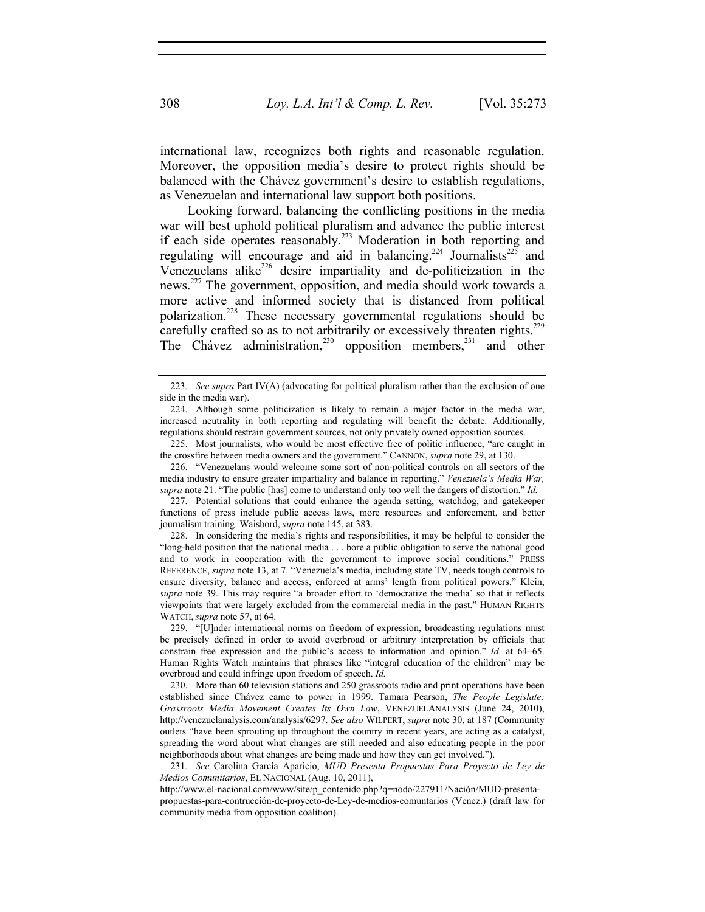international law, recognizes both rights and reasonable regulation. Moreover, the opposition media's desire to protect rights should be balanced with the Chávez government's desire to establish regulations, as Venezuelan and international law support both positions.

Looking forward, balancing the conflicting positions in the media war will best uphold political pluralism and advance the public interest if each side operates reasonably.<sup>223</sup> Moderation in both reporting and regulating will encourage and aid in balancing.<sup>224</sup> Journalists<sup>225</sup> and Venezuelans alike<sup>226</sup> desire impartiality and de-politicization in the news.227 The government, opposition, and media should work towards a more active and informed society that is distanced from political polarization.228 These necessary governmental regulations should be carefully crafted so as to not arbitrarily or excessively threaten rights.<sup>229</sup> The Chávez administration,<sup>230</sup> opposition members,<sup>231</sup> and other

 229. "[U]nder international norms on freedom of expression, broadcasting regulations must be precisely defined in order to avoid overbroad or arbitrary interpretation by officials that constrain free expression and the public's access to information and opinion." *Id.* at 64–65. Human Rights Watch maintains that phrases like "integral education of the children" may be overbroad and could infringe upon freedom of speech. *Id.*

 230. More than 60 television stations and 250 grassroots radio and print operations have been established since Chávez came to power in 1999. Tamara Pearson, *The People Legislate: Grassroots Media Movement Creates Its Own Law*, VENEZUELANALYSIS (June 24, 2010), http://venezuelanalysis.com/analysis/6297. *See also* WILPERT, *supra* note 30, at 187 (Community outlets "have been sprouting up throughout the country in recent years, are acting as a catalyst, spreading the word about what changes are still needed and also educating people in the poor neighborhoods about what changes are being made and how they can get involved.").

231*. See* Carolina García Aparicio, *MUD Presenta Propuestas Para Proyecto de Ley de Medios Comunitarios*, EL NACIONAL (Aug. 10, 2011),

http://www.el-nacional.com/www/site/p\_contenido.php?q=nodo/227911/Nación/MUD-presentapropuestas-para-contrucción-de-proyecto-de-Ley-de-medios-comuntarios (Venez.) (draft law for community media from opposition coalition).

<sup>223</sup>*. See supra* Part IV(A) (advocating for political pluralism rather than the exclusion of one side in the media war).

 <sup>224.</sup> Although some politicization is likely to remain a major factor in the media war, increased neutrality in both reporting and regulating will benefit the debate. Additionally, regulations should restrain government sources, not only privately owned opposition sources.

 <sup>225.</sup> Most journalists, who would be most effective free of politic influence, "are caught in the crossfire between media owners and the government." CANNON, *supra* note 29, at 130.

 <sup>226. &</sup>quot;Venezuelans would welcome some sort of non-political controls on all sectors of the media industry to ensure greater impartiality and balance in reporting." *Venezuela's Media War, supra* note 21. "The public [has] come to understand only too well the dangers of distortion." *Id.*

 <sup>227.</sup> Potential solutions that could enhance the agenda setting, watchdog, and gatekeeper functions of press include public access laws, more resources and enforcement, and better journalism training. Waisbord, *supra* note 145, at 383.

 <sup>228.</sup> In considering the media's rights and responsibilities, it may be helpful to consider the "long-held position that the national media . . . bore a public obligation to serve the national good and to work in cooperation with the government to improve social conditions." PRESS REFERENCE, *supra* note 13, at 7. "Venezuela's media, including state TV, needs tough controls to ensure diversity, balance and access, enforced at arms' length from political powers." Klein, *supra* note 39. This may require "a broader effort to 'democratize the media' so that it reflects viewpoints that were largely excluded from the commercial media in the past." HUMAN RIGHTS WATCH, *supra* note 57, at 64.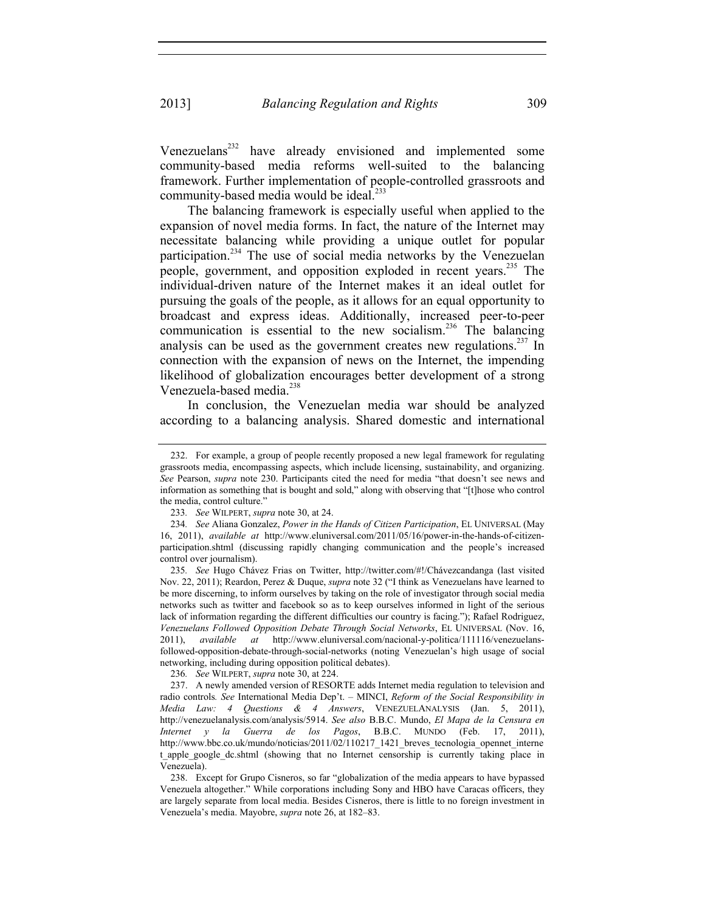Venezuelans<sup>232</sup> have already envisioned and implemented some community-based media reforms well-suited to the balancing framework. Further implementation of people-controlled grassroots and community-based media would be ideal.<sup>233</sup>

The balancing framework is especially useful when applied to the expansion of novel media forms. In fact, the nature of the Internet may necessitate balancing while providing a unique outlet for popular participation.<sup>234</sup> The use of social media networks by the Venezuelan people, government, and opposition exploded in recent years.<sup>235</sup> The individual-driven nature of the Internet makes it an ideal outlet for pursuing the goals of the people, as it allows for an equal opportunity to broadcast and express ideas. Additionally, increased peer-to-peer communication is essential to the new socialism.<sup>236</sup> The balancing analysis can be used as the government creates new regulations.<sup>237</sup> In connection with the expansion of news on the Internet, the impending likelihood of globalization encourages better development of a strong Venezuela-based media.<sup>238</sup>

In conclusion, the Venezuelan media war should be analyzed according to a balancing analysis. Shared domestic and international

236*. See* WILPERT, *supra* note 30, at 224.

 237. A newly amended version of RESORTE adds Internet media regulation to television and radio controls*. See* International Media Dep't. – MINCI, *Reform of the Social Responsibility in Media Law: 4 Questions & 4 Answers*, VENEZUELANALYSIS (Jan. 5, 2011), http://venezuelanalysis.com/analysis/5914. *See also* B.B.C. Mundo, *El Mapa de la Censura en Internet y la Guerra de los Pagos*, B.B.C. MUNDO (Feb. 17, 2011), http://www.bbc.co.uk/mundo/noticias/2011/02/110217\_1421\_breves\_tecnologia\_opennet\_interne t apple google dc.shtml (showing that no Internet censorship is currently taking place in Venezuela).

 238. Except for Grupo Cisneros, so far "globalization of the media appears to have bypassed Venezuela altogether." While corporations including Sony and HBO have Caracas officers, they are largely separate from local media. Besides Cisneros, there is little to no foreign investment in Venezuela's media. Mayobre, *supra* note 26, at 182–83.

 <sup>232.</sup> For example, a group of people recently proposed a new legal framework for regulating grassroots media, encompassing aspects, which include licensing, sustainability, and organizing. *See* Pearson, *supra* note 230. Participants cited the need for media "that doesn't see news and information as something that is bought and sold," along with observing that "[t]hose who control the media, control culture."

<sup>233</sup>*. See* WILPERT, *supra* note 30, at 24.

<sup>234</sup>*. See* Aliana Gonzalez, *Power in the Hands of Citizen Participation*, EL UNIVERSAL (May 16, 2011), *available at* http://www.eluniversal.com/2011/05/16/power-in-the-hands-of-citizenparticipation.shtml (discussing rapidly changing communication and the people's increased control over journalism).

<sup>235</sup>*. See* Hugo Chávez Frias on Twitter, http://twitter.com/#!/Chávezcandanga (last visited Nov. 22, 2011); Reardon, Perez & Duque, *supra* note 32 ("I think as Venezuelans have learned to be more discerning, to inform ourselves by taking on the role of investigator through social media networks such as twitter and facebook so as to keep ourselves informed in light of the serious lack of information regarding the different difficulties our country is facing."); Rafael Rodriguez, *Venezuelans Followed Opposition Debate Through Social Networks*, EL UNIVERSAL (Nov. 16, 2011), *available at* http://www.eluniversal.com/nacional-y-politica/111116/venezuelansfollowed-opposition-debate-through-social-networks (noting Venezuelan's high usage of social networking, including during opposition political debates).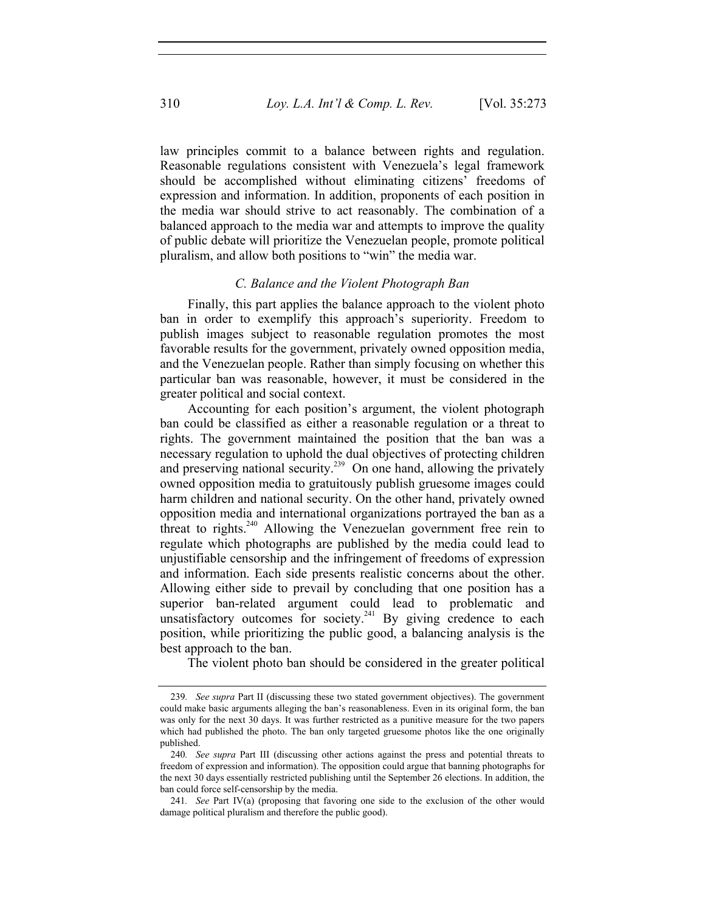law principles commit to a balance between rights and regulation. Reasonable regulations consistent with Venezuela's legal framework should be accomplished without eliminating citizens' freedoms of expression and information. In addition, proponents of each position in the media war should strive to act reasonably. The combination of a balanced approach to the media war and attempts to improve the quality of public debate will prioritize the Venezuelan people, promote political pluralism, and allow both positions to "win" the media war.

#### *C. Balance and the Violent Photograph Ban*

Finally, this part applies the balance approach to the violent photo ban in order to exemplify this approach's superiority. Freedom to publish images subject to reasonable regulation promotes the most favorable results for the government, privately owned opposition media, and the Venezuelan people. Rather than simply focusing on whether this particular ban was reasonable, however, it must be considered in the greater political and social context.

Accounting for each position's argument, the violent photograph ban could be classified as either a reasonable regulation or a threat to rights. The government maintained the position that the ban was a necessary regulation to uphold the dual objectives of protecting children and preserving national security.<sup>239</sup> On one hand, allowing the privately owned opposition media to gratuitously publish gruesome images could harm children and national security. On the other hand, privately owned opposition media and international organizations portrayed the ban as a threat to rights.<sup>240</sup> Allowing the Venezuelan government free rein to regulate which photographs are published by the media could lead to unjustifiable censorship and the infringement of freedoms of expression and information. Each side presents realistic concerns about the other. Allowing either side to prevail by concluding that one position has a superior ban-related argument could lead to problematic and unsatisfactory outcomes for society.<sup>241</sup> By giving credence to each position, while prioritizing the public good, a balancing analysis is the best approach to the ban.

The violent photo ban should be considered in the greater political

<sup>239</sup>*. See supra* Part II (discussing these two stated government objectives). The government could make basic arguments alleging the ban's reasonableness. Even in its original form, the ban was only for the next 30 days. It was further restricted as a punitive measure for the two papers which had published the photo. The ban only targeted gruesome photos like the one originally published.

<sup>240</sup>*. See supra* Part III (discussing other actions against the press and potential threats to freedom of expression and information). The opposition could argue that banning photographs for the next 30 days essentially restricted publishing until the September 26 elections. In addition, the ban could force self-censorship by the media.

<sup>241</sup>*. See* Part IV(a) (proposing that favoring one side to the exclusion of the other would damage political pluralism and therefore the public good).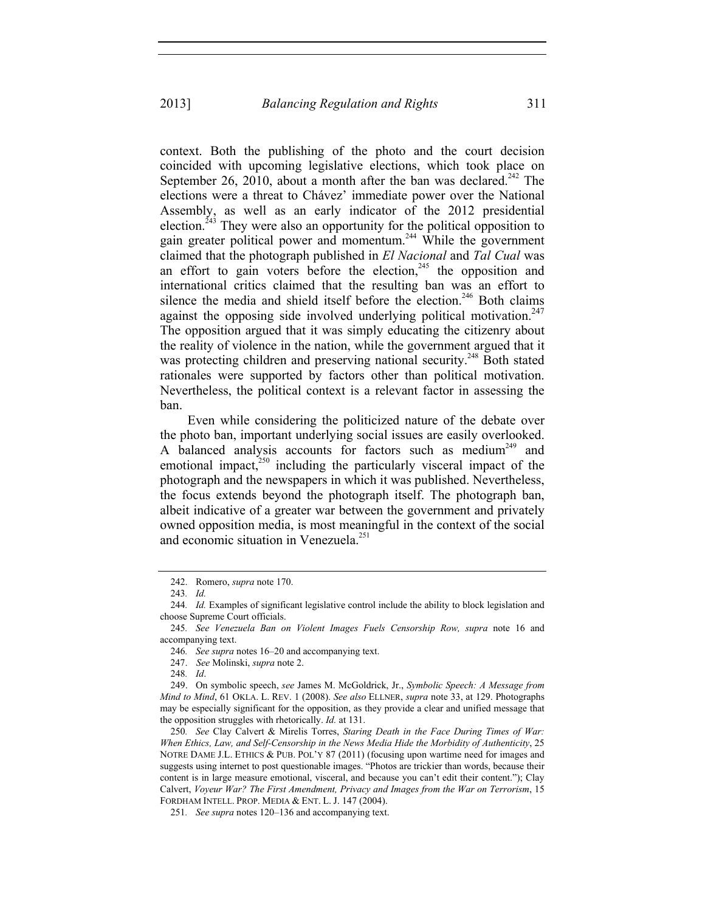context. Both the publishing of the photo and the court decision coincided with upcoming legislative elections, which took place on September 26, 2010, about a month after the ban was declared.<sup>242</sup> The elections were a threat to Chávez' immediate power over the National Assembly, as well as an early indicator of the 2012 presidential election.<sup> $243$ </sup> They were also an opportunity for the political opposition to gain greater political power and momentum.244 While the government claimed that the photograph published in *El Nacional* and *Tal Cual* was an effort to gain voters before the election,  $245$  the opposition and international critics claimed that the resulting ban was an effort to silence the media and shield itself before the election.<sup>246</sup> Both claims against the opposing side involved underlying political motivation.<sup>247</sup> The opposition argued that it was simply educating the citizenry about the reality of violence in the nation, while the government argued that it was protecting children and preserving national security.<sup>248</sup> Both stated rationales were supported by factors other than political motivation. Nevertheless, the political context is a relevant factor in assessing the ban.

Even while considering the politicized nature of the debate over the photo ban, important underlying social issues are easily overlooked. A balanced analysis accounts for factors such as medium<sup>249</sup> and emotional impact, $250$  including the particularly visceral impact of the photograph and the newspapers in which it was published. Nevertheless, the focus extends beyond the photograph itself. The photograph ban, albeit indicative of a greater war between the government and privately owned opposition media, is most meaningful in the context of the social and economic situation in Venezuela.<sup>251</sup>

246*. See supra* notes 16–20 and accompanying text.

248*. Id*.

 249. On symbolic speech, *see* James M. McGoldrick, Jr., *Symbolic Speech: A Message from Mind to Mind*, 61 OKLA. L. REV. 1 (2008). *See also* ELLNER, *supra* note 33, at 129. Photographs may be especially significant for the opposition, as they provide a clear and unified message that the opposition struggles with rhetorically. *Id.* at 131.

250*. See* Clay Calvert & Mirelis Torres, *Staring Death in the Face During Times of War: When Ethics, Law, and Self-Censorship in the News Media Hide the Morbidity of Authenticity*, 25 NOTRE DAME J.L. ETHICS & PUB. POL'Y 87 (2011) (focusing upon wartime need for images and suggests using internet to post questionable images. "Photos are trickier than words, because their content is in large measure emotional, visceral, and because you can't edit their content."); Clay Calvert, *Voyeur War? The First Amendment, Privacy and Images from the War on Terrorism*, 15 FORDHAM INTELL. PROP. MEDIA & ENT. L. J. 147 (2004).

251*. See supra* notes 120–136 and accompanying text.

 <sup>242.</sup> Romero, *supra* note 170.

<sup>243</sup>*. Id.*

<sup>244</sup>*. Id.* Examples of significant legislative control include the ability to block legislation and choose Supreme Court officials.

<sup>245</sup>*. See Venezuela Ban on Violent Images Fuels Censorship Row, supra* note 16 and accompanying text.

 <sup>247.</sup> *See* Molinski, *supra* note 2.